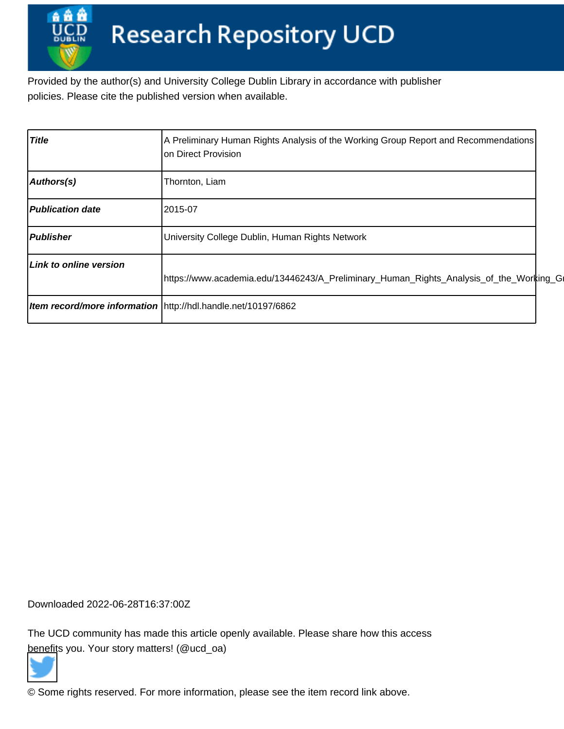Provided by the author(s) and University College Dublin Library in accordance with publisher policies. Please cite the published version when available.

| <b>Title</b>                  | A Preliminary Human Rights Analysis of the Working Group Report and Recommendations<br>on Direct Provision |  |
|-------------------------------|------------------------------------------------------------------------------------------------------------|--|
| Authors(s)                    | Thornton, Liam                                                                                             |  |
| Publication date              | 2015-07                                                                                                    |  |
| <b>Publisher</b>              | University College Dublin, Human Rights Network                                                            |  |
| <b>Link to online version</b> | https://www.academia.edu/13446243/A_Preliminary_Human_Rights_Analysis_of_the_Working_Gl                    |  |
|                               | <b>Item record/more information</b> http://hdl.handle.net/10197/6862                                       |  |

Downloaded 2022-06-28T16:37:00Z

The UCD community has made this article openly available. Please share how this access [benefit](https://twitter.com/intent/tweet?via=ucd_oa&text=A+Preliminary+Human+Rights+Analysis+o...&url=http%3A%2F%2Fhdl.handle.net%2F10197%2F6862)s you. Your story matters! (@ucd\_oa)



© Some rights reserved. For more information, please see the item record link above.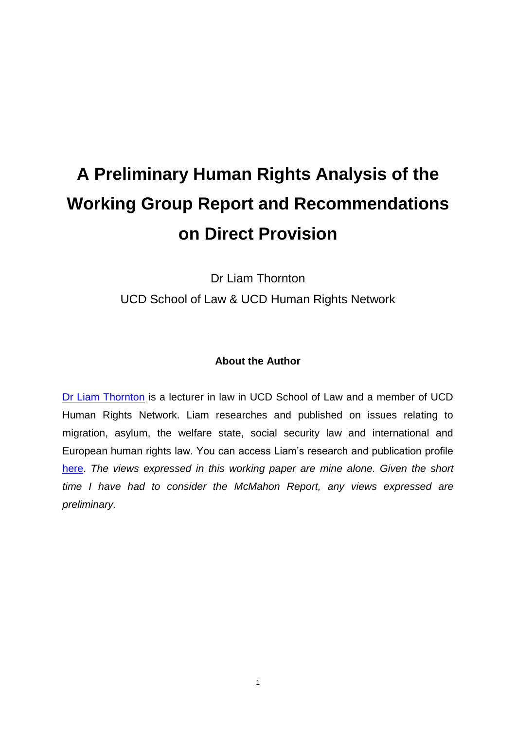# **A Preliminary Human Rights Analysis of the Working Group Report and Recommendations on Direct Provision**

Dr Liam Thornton UCD School of Law & UCD Human Rights Network

#### **About the Author**

[Dr Liam Thornton](http://www.ucd.ie/law/staff/faculty/liamthornton/) is a lecturer in law in UCD School of Law and a member of UCD Human Rights Network. Liam researches and published on issues relating to migration, asylum, the welfare state, social security law and international and European human rights law. You can access Liam's research and publication profile [here.](http://www.ucd.ie/research/people/law/drliamthornton/) *The views expressed in this working paper are mine alone. Given the short time I have had to consider the McMahon Report, any views expressed are preliminary.*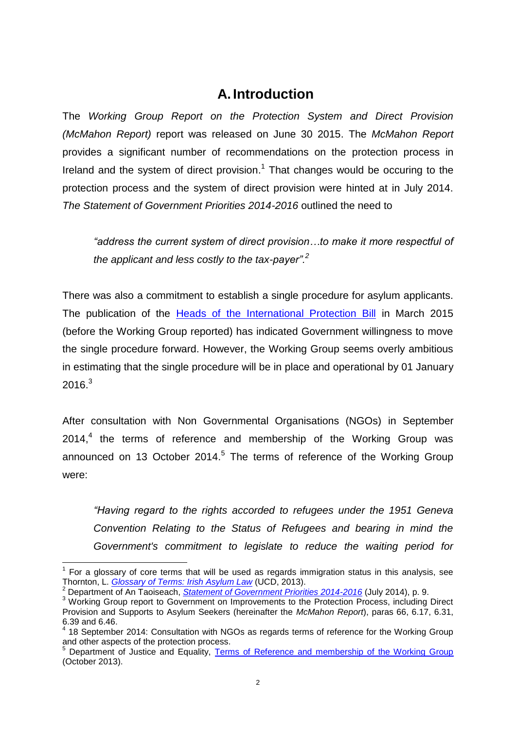## **A. Introduction**

The *Working Group Report on the Protection System and Direct Provision (McMahon Report)* report was released on June 30 2015. The *McMahon Report* provides a significant number of recommendations on the protection process in Ireland and the system of direct provision.<sup>1</sup> That changes would be occuring to the protection process and the system of direct provision were hinted at in July 2014. *The Statement of Government Priorities 2014-2016* outlined the need to

*"address the current system of direct provision…to make it more respectful of the applicant and less costly to the tax-payer".<sup>2</sup>*

There was also a commitment to establish a single procedure for asylum applicants. The publication of the [Heads of the International Protection Bill](http://justice.ie/en/JELR/Pages/PB15000080) in March 2015 (before the Working Group reported) has indicated Government willingness to move the single procedure forward. However, the Working Group seems overly ambitious in estimating that the single procedure will be in place and operational by 01 January 2016.<sup>3</sup>

After consultation with Non Governmental Organisations (NGOs) in September 2014,<sup>4</sup> the terms of reference and membership of the Working Group was announced on 13 October 2014.<sup>5</sup> The terms of reference of the Working Group were:

*"Having regard to the rights accorded to refugees under the 1951 Geneva Convention Relating to the Status of Refugees and bearing in mind the Government's commitment to legislate to reduce the waiting period for* 

 $1$  For a glossary of core terms that will be used as regards immigration status in this analysis, see Thornton, L. *[Glossary of Terms: Irish Asylum Law](http://researchrepository.ucd.ie/bitstream/handle/10197/5555/Glossary_of_Terms_Irish_Asylum_Law.pdf?sequence=1)* (UCD, 2013).

<sup>2</sup> Department of An Taoiseach, *[Statement of Government Priorities 2014-2016](http://www.taoiseach.gov.ie/eng/Publications/Publications_2014/Statement-of-Government-Priorities-2014-2016.pdf)* (July 2014), p. 9.

<sup>&</sup>lt;sup>3</sup> Working Group report to Government on Improvements to the Protection Process, including Direct Provision and Supports to Asylum Seekers (hereinafter the *McMahon Report*), paras 66, 6.17, 6.31, 6.39 and 6.46.

<sup>4</sup> 18 September 2014: Consultation with NGOs as regards terms of reference for the Working Group and other aspects of the protection process.

<sup>5</sup> Department of Justice and Equality, [Terms of Reference and membership of the Working Group](http://www.inis.gov.ie/en/INIS/Pages/Ministers%20Fitzgerald%20and%20O%20R%C3%ADord%C3%A1in%20announce%20composition%20of%20Working%20Group%20to%20examine%20improvements%20to%20the%20Protection%20process%20and%20the%20Direct%20Provision%20system) (October 2013).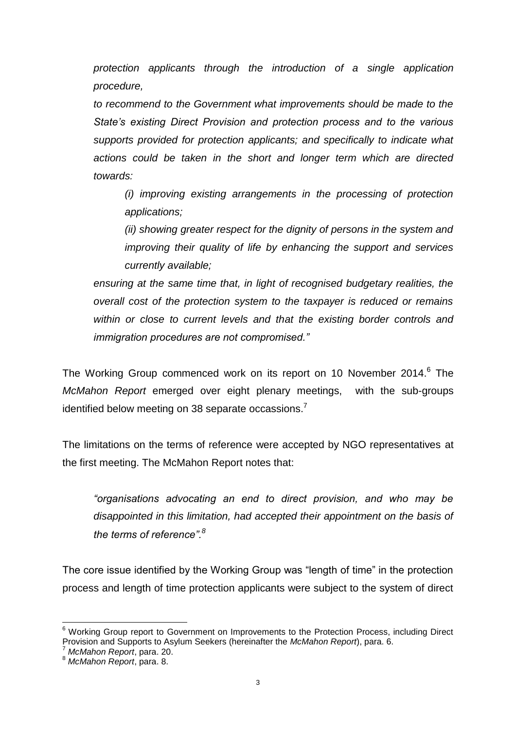*protection applicants through the introduction of a single application procedure,*

*to recommend to the Government what improvements should be made to the State's existing Direct Provision and protection process and to the various supports provided for protection applicants; and specifically to indicate what actions could be taken in the short and longer term which are directed towards:*

*(i) improving existing arrangements in the processing of protection applications;*

*(ii) showing greater respect for the dignity of persons in the system and improving their quality of life by enhancing the support and services currently available;*

*ensuring at the same time that, in light of recognised budgetary realities, the overall cost of the protection system to the taxpayer is reduced or remains within or close to current levels and that the existing border controls and immigration procedures are not compromised."*

The Working Group commenced work on its report on 10 November 2014.<sup>6</sup> The *McMahon Report* emerged over eight plenary meetings, with the sub-groups identified below meeting on 38 separate occassions.

The limitations on the terms of reference were accepted by NGO representatives at the first meeting. The McMahon Report notes that:

*"organisations advocating an end to direct provision, and who may be disappointed in this limitation, had accepted their appointment on the basis of the terms of reference".<sup>8</sup>*

The core issue identified by the Working Group was "length of time" in the protection process and length of time protection applicants were subject to the system of direct

<sup>&</sup>lt;sup>6</sup> Workina Group report to Government on Improvements to the Protection Process, including Direct Provision and Supports to Asylum Seekers (hereinafter the *McMahon Report*), para. 6.

<sup>7</sup> *McMahon Report*, para. 20.

<sup>8</sup> *McMahon Report*, para. 8.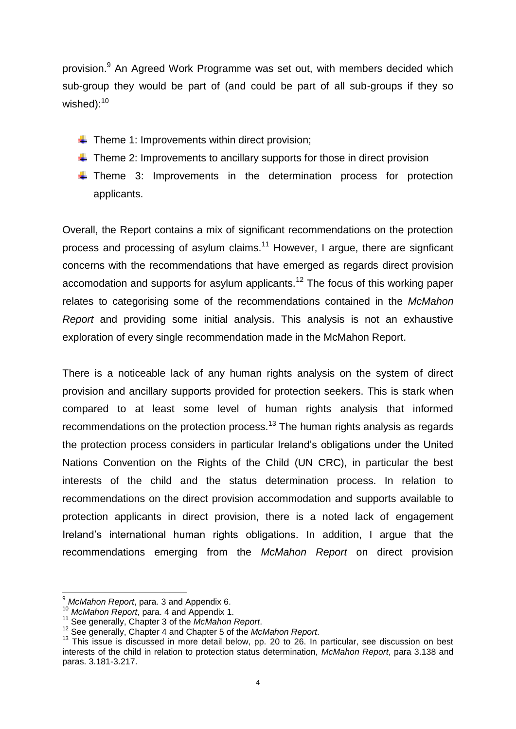provision.<sup>9</sup> An Agreed Work Programme was set out, with members decided which sub-group they would be part of (and could be part of all sub-groups if they so wished): $10$ 

- $\triangleq$  Theme 1: Improvements within direct provision:
- $\ddot{\phantom{1}}$  Theme 2: Improvements to ancillary supports for those in direct provision
- $\downarrow$  Theme 3: Improvements in the determination process for protection applicants.

Overall, the Report contains a mix of significant recommendations on the protection process and processing of asylum claims.<sup>11</sup> However, I argue, there are signficant concerns with the recommendations that have emerged as regards direct provision accomodation and supports for asylum applicants.<sup>12</sup> The focus of this working paper relates to categorising some of the recommendations contained in the *McMahon Report* and providing some initial analysis. This analysis is not an exhaustive exploration of every single recommendation made in the McMahon Report.

There is a noticeable lack of any human rights analysis on the system of direct provision and ancillary supports provided for protection seekers. This is stark when compared to at least some level of human rights analysis that informed recommendations on the protection process.<sup>13</sup> The human rights analysis as regards the protection process considers in particular Ireland's obligations under the United Nations Convention on the Rights of the Child (UN CRC), in particular the best interests of the child and the status determination process. In relation to recommendations on the direct provision accommodation and supports available to protection applicants in direct provision, there is a noted lack of engagement Ireland's international human rights obligations. In addition, I argue that the recommendations emerging from the *McMahon Report* on direct provision

<sup>9</sup> *McMahon Report*, para. 3 and Appendix 6.

<sup>10</sup> *McMahon Report*, para. 4 and Appendix 1.

<sup>11</sup> See generally, Chapter 3 of the *McMahon Report*.

<sup>12</sup> See generally, Chapter 4 and Chapter 5 of the *McMahon Report*.

<sup>&</sup>lt;sup>13</sup> This issue is discussed in more detail below, pp. [20](#page-20-0) to [26.](#page-26-0) In particular, see discussion on best interests of the child in relation to protection status determination, *McMahon Report*, para 3.138 and paras. 3.181-3.217.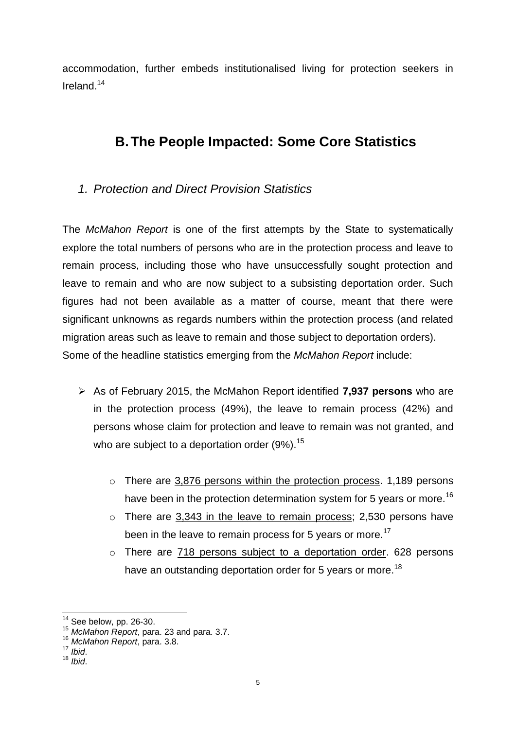accommodation, further embeds institutionalised living for protection seekers in Ireland.<sup>14</sup>

## **B.The People Impacted: Some Core Statistics**

## *1. Protection and Direct Provision Statistics*

The *McMahon Report* is one of the first attempts by the State to systematically explore the total numbers of persons who are in the protection process and leave to remain process, including those who have unsuccessfully sought protection and leave to remain and who are now subject to a subsisting deportation order. Such figures had not been available as a matter of course, meant that there were significant unknowns as regards numbers within the protection process (and related migration areas such as leave to remain and those subject to deportation orders). Some of the headline statistics emerging from the *McMahon Report* include:

- As of February 2015, the McMahon Report identified **7,937 persons** who are in the protection process (49%), the leave to remain process (42%) and persons whose claim for protection and leave to remain was not granted, and who are subject to a deportation order  $(9\%)$ .<sup>15</sup>
	- o There are 3,876 persons within the protection process. 1,189 persons have been in the protection determination system for 5 years or more.<sup>16</sup>
	- o There are 3,343 in the leave to remain process; 2,530 persons have been in the leave to remain process for 5 years or more.<sup>17</sup>
	- o There are 718 persons subject to a deportation order. 628 persons have an outstanding deportation order for 5 years or more.<sup>18</sup>

 $14$  See below, pp. [26](#page-26-1)[-30.](#page-30-0)

<sup>15</sup> *McMahon Report*, para. 23 and para. 3.7.

<sup>16</sup> *McMahon Report*, para. 3.8.

<sup>17</sup> *Ibid*.

<sup>18</sup> *Ibid*.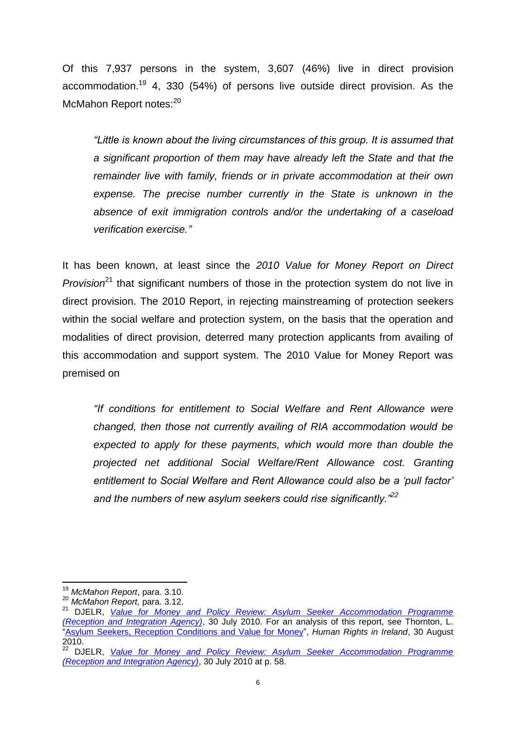Of this 7,937 persons in the system, 3,607 (46%) live in direct provision accommodation.<sup>19</sup> 4, 330 (54%) of persons live outside direct provision. As the McMahon Report notes:<sup>20</sup>

*"Little is known about the living circumstances of this group. It is assumed that a significant proportion of them may have already left the State and that the remainder live with family, friends or in private accommodation at their own expense. The precise number currently in the State is unknown in the absence of exit immigration controls and/or the undertaking of a caseload verification exercise."*

It has been known, at least since the *2010 Value for Money Report on Direct Provision*<sup>21</sup> that significant numbers of those in the protection system do not live in direct provision. The 2010 Report, in rejecting mainstreaming of protection seekers within the social welfare and protection system, on the basis that the operation and modalities of direct provision, deterred many protection applicants from availing of this accommodation and support system. The 2010 Value for Money Report was premised on

*"If conditions for entitlement to Social Welfare and Rent Allowance were changed, then those not currently availing of RIA accommodation would be expected to apply for these payments, which would more than double the projected net additional Social Welfare/Rent Allowance cost. Granting entitlement to Social Welfare and Rent Allowance could also be a 'pull factor' and the numbers of new asylum seekers could rise significantly."<sup>22</sup>*

**<sup>.</sup>** <sup>19</sup> *McMahon Report*, para. 3.10.

<sup>20</sup> *McMahon Report,* para. 3.12.

<sup>21</sup> DJELR, *[Value for Money and Policy Review: Asylum Seeker Accommodation Programme](http://www.justice.ie/en/JELR/VFM%20Report%20on%20Asylum%20Seeker%20Accomm.pdf/Files/VFM%20Report%20on%20Asylum%20Seeker%20Accomm.pdf)  [\(Reception and Integration Agency\)](http://www.justice.ie/en/JELR/VFM%20Report%20on%20Asylum%20Seeker%20Accomm.pdf/Files/VFM%20Report%20on%20Asylum%20Seeker%20Accomm.pdf)*, 30 July 2010. For an analysis of this report, see Thornton, L. ["Asylum Seekers, Reception Conditions and Value for Money"](http://humanrights.ie/civil-liberties/asylum-seekers-reception-conditions-and-value-for-money/), *Human Rights in Ireland*, 30 August 2010.

<sup>22</sup> DJELR, *[Value for Money and Policy Review: Asylum Seeker Accommodation Programme](http://www.justice.ie/en/JELR/VFM%20Report%20on%20Asylum%20Seeker%20Accomm.pdf/Files/VFM%20Report%20on%20Asylum%20Seeker%20Accomm.pdf)  [\(Reception and Integration Agency\)](http://www.justice.ie/en/JELR/VFM%20Report%20on%20Asylum%20Seeker%20Accomm.pdf/Files/VFM%20Report%20on%20Asylum%20Seeker%20Accomm.pdf)*, 30 July 2010 at p. 58.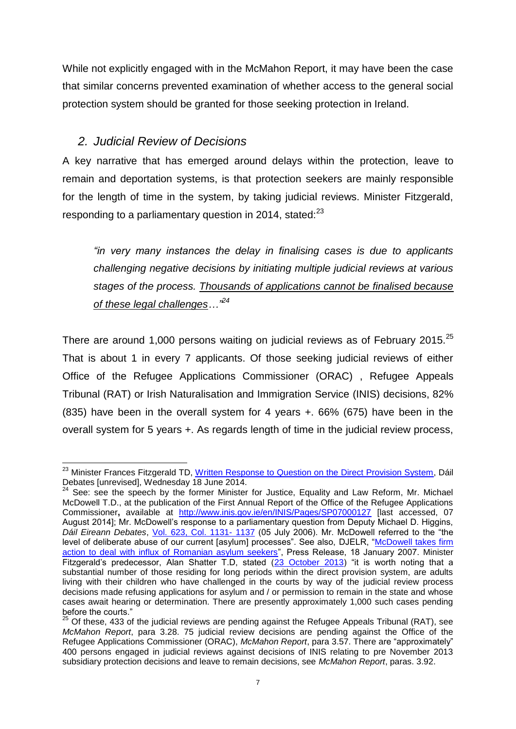While not explicitly engaged with in the McMahon Report, it may have been the case that similar concerns prevented examination of whether access to the general social protection system should be granted for those seeking protection in Ireland.

#### *2. Judicial Review of Decisions*

A key narrative that has emerged around delays within the protection, leave to remain and deportation systems, is that protection seekers are mainly responsible for the length of time in the system, by taking judicial reviews. Minister Fitzgerald, responding to a parliamentary question in 2014, stated: $^{23}$ 

*"in very many instances the delay in finalising cases is due to applicants challenging negative decisions by initiating multiple judicial reviews at various stages of the process. Thousands of applications cannot be finalised because of these legal challenges…"<sup>24</sup>*

There are around 1,000 persons waiting on judicial reviews as of February 2015.<sup>25</sup> That is about 1 in every 7 applicants. Of those seeking judicial reviews of either Office of the Refugee Applications Commissioner (ORAC) , Refugee Appeals Tribunal (RAT) or Irish Naturalisation and Immigration Service (INIS) decisions, 82% (835) have been in the overall system for 4 years +. 66% (675) have been in the overall system for 5 years +. As regards length of time in the judicial review process,

**<sup>.</sup>** <sup>23</sup> Minister Frances Fitzgerald TD, [Written Response to Question on the Direct Provision System,](http://oireachtasdebates.oireachtas.ie/debates%20authoring/debateswebpack.nsf/takes/dail2014061800088?opendocument) Dáil Debates [unrevised], Wednesday 18 June 2014.

 $24$  See: see the speech by the former Minister for Justice, Equality and Law Reform, Mr. Michael McDowell T.D., at the publication of the First Annual Report of the Office of the Refugee Applications Commissioner**,** available at <http://www.inis.gov.ie/en/INIS/Pages/SP07000127> [last accessed, 07 August 2014]; Mr. McDowell's response to a parliamentary question from Deputy Michael D. Higgins, *Dáil Eireann Debates*, [Vol. 623, Col. 1131-](http://oireachtasdebates.oireachtas.ie/debates%20authoring/debateswebpack.nsf/takes/dail2006070500267?opendocument) 1137 (05 July 2006). Mr. McDowell referred to the "the level of deliberate abuse of our current [asylum] processes". See also, DJELR, "McDowell takes firm [action to deal with influx of Romanian asylum seekers"](http://www.inis.gov.ie/en/INIS/Pages/PR07000138), Press Release, 18 January 2007. Minister Fitzgerald's predecessor, Alan Shatter T.D, stated [\(23 October 2013\)](http://www.justice.ie/en/JELR/Pages/SP13000366) "it is worth noting that a substantial number of those residing for long periods within the direct provision system, are adults living with their children who have challenged in the courts by way of the judicial review process decisions made refusing applications for asylum and / or permission to remain in the state and whose cases await hearing or determination. There are presently approximately 1,000 such cases pending before the courts."

 $25$  Of these, 433 of the judicial reviews are pending against the Refugee Appeals Tribunal (RAT), see *McMahon Report*, para 3.28. 75 judicial review decisions are pending against the Office of the Refugee Applications Commissioner (ORAC), *McMahon Report*, para 3.57. There are "approximately" 400 persons engaged in judicial reviews against decisions of INIS relating to pre November 2013 subsidiary protection decisions and leave to remain decisions, see *McMahon Report*, paras. 3.92.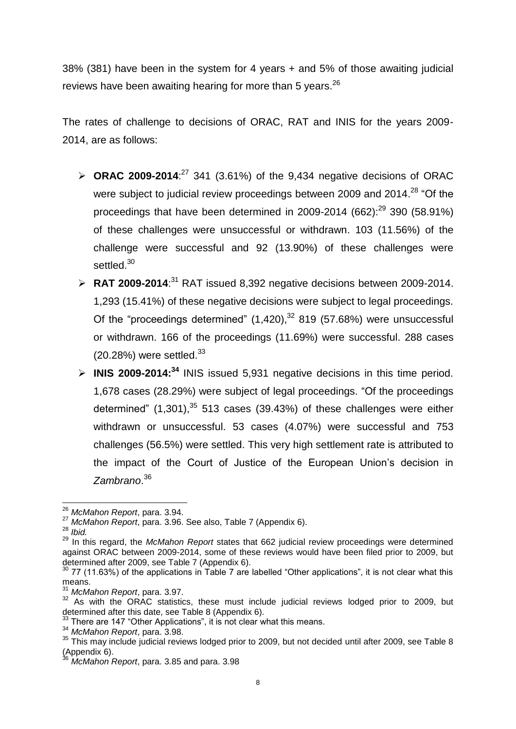38% (381) have been in the system for 4 years + and 5% of those awaiting judicial reviews have been awaiting hearing for more than 5 years.<sup>26</sup>

The rates of challenge to decisions of ORAC, RAT and INIS for the years 2009- 2014, are as follows:

- $\triangleright$  **ORAC 2009-2014**:<sup>27</sup> 341 (3.61%) of the 9,434 negative decisions of ORAC were subject to judicial review proceedings between 2009 and 2014.<sup>28</sup> "Of the proceedings that have been determined in 2009-2014 (662): $^{29}$  390 (58.91%) of these challenges were unsuccessful or withdrawn. 103 (11.56%) of the challenge were successful and 92 (13.90%) of these challenges were settled.<sup>30</sup>
- $\triangleright$  **RAT 2009-2014**:<sup>31</sup> RAT issued 8,392 negative decisions between 2009-2014. 1,293 (15.41%) of these negative decisions were subject to legal proceedings. Of the "proceedings determined"  $(1,420),<sup>32</sup> 819$  (57.68%) were unsuccessful or withdrawn. 166 of the proceedings (11.69%) were successful. 288 cases  $(20.28%)$  were settled.<sup>33</sup>
- **INIS 2009-2014:<sup>34</sup>** INIS issued 5,931 negative decisions in this time period. 1,678 cases (28.29%) were subject of legal proceedings. "Of the proceedings determined"  $(1,301)$ ,  $35$  513 cases (39.43%) of these challenges were either withdrawn or unsuccessful. 53 cases (4.07%) were successful and 753 challenges (56.5%) were settled. This very high settlement rate is attributed to the impact of the Court of Justice of the European Union's decision in *Zambrano*. 36

<sup>26</sup> *McMahon Report*, para. 3.94.

<sup>27</sup> *McMahon Report*, para. 3.96. See also, Table 7 (Appendix 6).

<sup>28</sup> *Ibid.*

<sup>29</sup> In this regard, the *McMahon Report* states that 662 judicial review proceedings were determined against ORAC between 2009-2014, some of these reviews would have been filed prior to 2009, but determined after 2009, see Table 7 (Appendix 6).

 $30$  77 (11.63%) of the applications in Table 7 are labelled "Other applications", it is not clear what this means.

<sup>31</sup> *McMahon Report*, para. 3.97.

<sup>&</sup>lt;sup>32</sup> As with the ORAC statistics, these must include judicial reviews lodged prior to 2009, but determined after this date, see Table 8 (Appendix 6).

<sup>&</sup>lt;sup>33</sup> There are 147 "Other Applications", it is not clear what this means.

<sup>34</sup> *McMahon Report*, para. 3.98.

<sup>35</sup> This may include judicial reviews lodged prior to 2009, but not decided until after 2009, see Table 8  $(Appendix 6).$ 

<sup>36</sup> *McMahon Report*, para. 3.85 and para. 3.98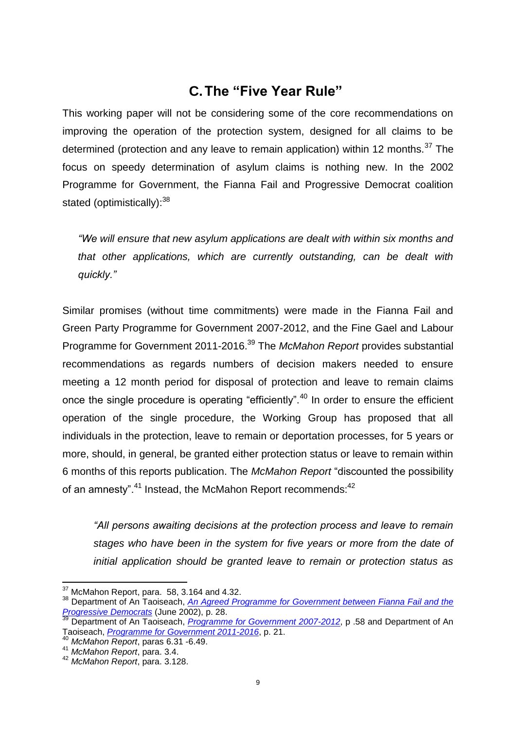## **C.The "Five Year Rule"**

This working paper will not be considering some of the core recommendations on improving the operation of the protection system, designed for all claims to be determined (protection and any leave to remain application) within 12 months.<sup>37</sup> The focus on speedy determination of asylum claims is nothing new. In the 2002 Programme for Government, the Fianna Fail and Progressive Democrat coalition stated (optimistically): $38$ 

*"We will ensure that new asylum applications are dealt with within six months and that other applications, which are currently outstanding, can be dealt with quickly."*

Similar promises (without time commitments) were made in the Fianna Fail and Green Party Programme for Government 2007-2012, and the Fine Gael and Labour Programme for Government 2011-2016.<sup>39</sup> The *McMahon Report* provides substantial recommendations as regards numbers of decision makers needed to ensure meeting a 12 month period for disposal of protection and leave to remain claims once the single procedure is operating "efficiently".<sup>40</sup> In order to ensure the efficient operation of the single procedure, the Working Group has proposed that all individuals in the protection, leave to remain or deportation processes, for 5 years or more, should, in general, be granted either protection status or leave to remain within 6 months of this reports publication. The *McMahon Report* "discounted the possibility of an amnesty".<sup>41</sup> Instead, the McMahon Report recommends: <sup>42</sup>

*"All persons awaiting decisions at the protection process and leave to remain stages who have been in the system for five years or more from the date of initial application should be granted leave to remain or protection status as* 

 $37$  McMahon Report, para. 58, 3.164 and 4.32.

<sup>38</sup> Department of An Taoiseach, *[An Agreed Programme for Government between Fianna Fail and the](http://www.drugsandalcohol.ie/5992/1/2788-2990.pdf)  [Progressive Democrats](http://www.drugsandalcohol.ie/5992/1/2788-2990.pdf)* (June 2002), p. 28.

<sup>&</sup>lt;sup>39</sup> Department of An Taoiseach, *[Programme for Government 2007-2012](http://www.taoiseach.gov.ie/attached_files/Pdf%20files/Eng%20Prog%20for%20Gov.pdf)*, p .58 and Department of An Taoiseach, *[Programme for Government 2011-2016](http://www.per.gov.ie/wp-content/uploads/ProgrammeforGovernmentFinal.pdf)*, p. 21.

<sup>40</sup> *McMahon Report*, paras 6.31 -6.49.

<sup>41</sup> *McMahon Report*, para. 3.4.

<sup>42</sup> *McMahon Report*, para. 3.128.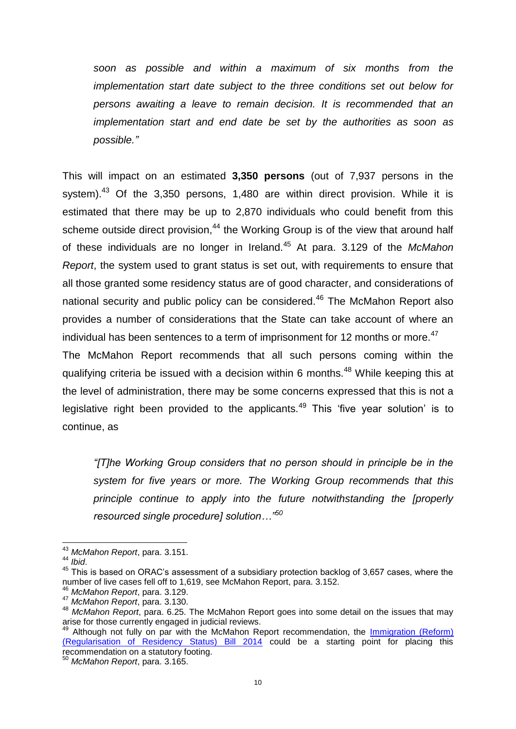*soon as possible and within a maximum of six months from the implementation start date subject to the three conditions set out below for persons awaiting a leave to remain decision. It is recommended that an implementation start and end date be set by the authorities as soon as possible."*

This will impact on an estimated **3,350 persons** (out of 7,937 persons in the system). $43$  Of the 3,350 persons, 1,480 are within direct provision. While it is estimated that there may be up to 2,870 individuals who could benefit from this scheme outside direct provision,<sup>44</sup> the Working Group is of the view that around half of these individuals are no longer in Ireland.<sup>45</sup> At para. 3.129 of the *McMahon Report*, the system used to grant status is set out, with requirements to ensure that all those granted some residency status are of good character, and considerations of national security and public policy can be considered.<sup>46</sup> The McMahon Report also provides a number of considerations that the State can take account of where an individual has been sentences to a term of imprisonment for 12 months or more.<sup>47</sup>

The McMahon Report recommends that all such persons coming within the qualifying criteria be issued with a decision within 6 months.<sup>48</sup> While keeping this at the level of administration, there may be some concerns expressed that this is not a legislative right been provided to the applicants. $49$  This 'five year solution' is to continue, as

*"[T]he Working Group considers that no person should in principle be in the system for five years or more. The Working Group recommends that this principle continue to apply into the future notwithstanding the [properly resourced single procedure] solution…"<sup>50</sup>*

 $\overline{a}$ <sup>43</sup> *McMahon Report*, para. 3.151.

<sup>44</sup> *Ibid*.

<sup>45</sup> This is based on ORAC's assessment of a subsidiary protection backlog of 3,657 cases, where the number of live cases fell off to 1,619, see McMahon Report, para. 3.152.

<sup>46</sup> *McMahon Report*, para. 3.129.

<sup>47</sup> *McMahon Report*, para. 3.130.

<sup>48</sup> *McMahon Report*, para. 6.25. The McMahon Report goes into some detail on the issues that may arise for those currently engaged in judicial reviews.

Although not fully on par with the McMahon Report recommendation, the Immigration (Reform) [\(Regularisation of Residency Status\) Bill 2014](http://www.oireachtas.ie/documents/bills28/bills/2014/9414/b9414s.pdf) could be a starting point for placing this recommendation on a statutory footing.

<sup>50</sup> *McMahon Report*, para. 3.165.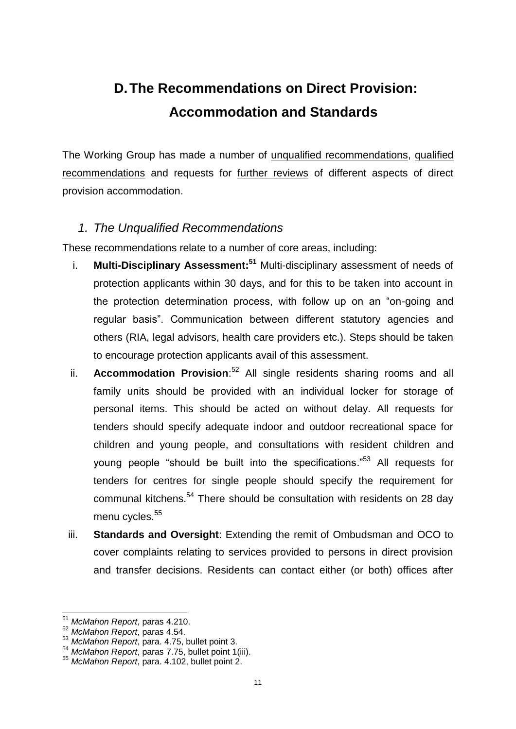## **D.The Recommendations on Direct Provision: Accommodation and Standards**

The Working Group has made a number of unqualified recommendations, qualified recommendations and requests for further reviews of different aspects of direct provision accommodation.

#### *1. The Unqualified Recommendations*

These recommendations relate to a number of core areas, including:

- i. **Multi-Disciplinary Assessment:<sup>51</sup>** Multi-disciplinary assessment of needs of protection applicants within 30 days, and for this to be taken into account in the protection determination process, with follow up on an "on-going and regular basis". Communication between different statutory agencies and others (RIA, legal advisors, health care providers etc.). Steps should be taken to encourage protection applicants avail of this assessment.
- ii. **Accommodation Provision**:<sup>52</sup> All single residents sharing rooms and all family units should be provided with an individual locker for storage of personal items. This should be acted on without delay. All requests for tenders should specify adequate indoor and outdoor recreational space for children and young people, and consultations with resident children and young people "should be built into the specifications."<sup>53</sup> All requests for tenders for centres for single people should specify the requirement for communal kitchens.<sup>54</sup> There should be consultation with residents on 28 day menu cycles.<sup>55</sup>
- iii. **Standards and Oversight**: Extending the remit of Ombudsman and OCO to cover complaints relating to services provided to persons in direct provision and transfer decisions. Residents can contact either (or both) offices after

**<sup>.</sup>** <sup>51</sup> *McMahon Report*, paras 4.210.

<sup>52</sup> *McMahon Report*, paras 4.54.

<sup>53</sup> *McMahon Report*, para. 4.75, bullet point 3.

<sup>54</sup> *McMahon Report*, paras 7.75, bullet point 1(iii).

<sup>55</sup> *McMahon Report*, para. 4.102, bullet point 2.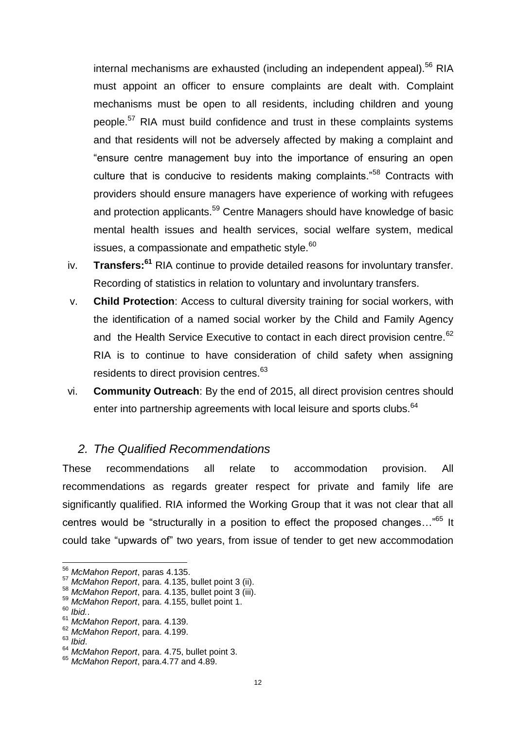internal mechanisms are exhausted (including an independent appeal).<sup>56</sup> RIA must appoint an officer to ensure complaints are dealt with. Complaint mechanisms must be open to all residents, including children and young people.<sup>57</sup> RIA must build confidence and trust in these complaints systems and that residents will not be adversely affected by making a complaint and "ensure centre management buy into the importance of ensuring an open culture that is conducive to residents making complaints."<sup>58</sup> Contracts with providers should ensure managers have experience of working with refugees and protection applicants.<sup>59</sup> Centre Managers should have knowledge of basic mental health issues and health services, social welfare system, medical issues, a compassionate and empathetic style. $60$ 

- iv. **Transfers:<sup>61</sup>** RIA continue to provide detailed reasons for involuntary transfer. Recording of statistics in relation to voluntary and involuntary transfers.
- v. **Child Protection**: Access to cultural diversity training for social workers, with the identification of a named social worker by the Child and Family Agency and the Health Service Executive to contact in each direct provision centre.<sup>62</sup> RIA is to continue to have consideration of child safety when assigning residents to direct provision centres.<sup>63</sup>
- vi. **Community Outreach**: By the end of 2015, all direct provision centres should enter into partnership agreements with local leisure and sports clubs.<sup>64</sup>

#### *2. The Qualified Recommendations*

These recommendations all relate to accommodation provision. All recommendations as regards greater respect for private and family life are significantly qualified. RIA informed the Working Group that it was not clear that all centres would be "structurally in a position to effect the proposed changes..."<sup>65</sup> It could take "upwards of" two years, from issue of tender to get new accommodation

<sup>56</sup> *McMahon Report*, paras 4.135.

<sup>57</sup> *McMahon Report*, para. 4.135, bullet point 3 (ii).

<sup>58</sup> *McMahon Report*, para. 4.135, bullet point 3 (iii).

<sup>59</sup> *McMahon Report*, para. 4.155, bullet point 1.

<sup>60</sup> *Ibid.*.

<sup>61</sup> *McMahon Report*, para. 4.139.

<sup>62</sup> *McMahon Report*, para. 4.199.

<sup>63</sup> *Ibid*.

<sup>64</sup> *McMahon Report*, para. 4.75, bullet point 3.

<sup>65</sup> *McMahon Report*, para.4.77 and 4.89.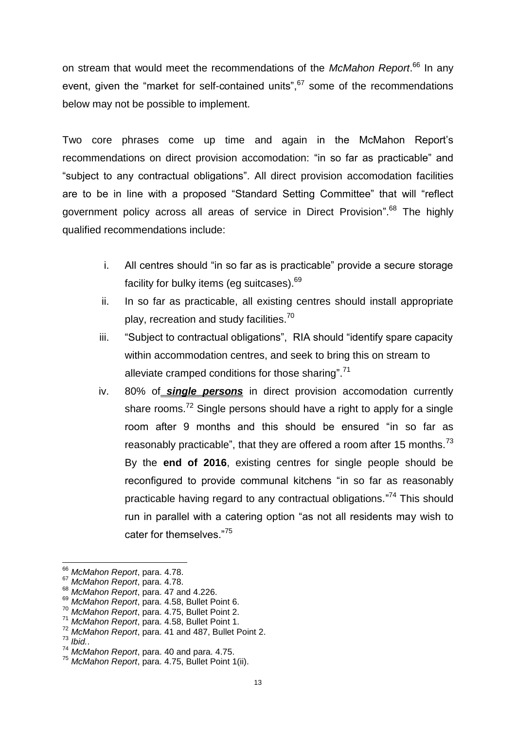on stream that would meet the recommendations of the *McMahon Report*. <sup>66</sup> In any event, given the "market for self-contained units",<sup>67</sup> some of the recommendations below may not be possible to implement.

Two core phrases come up time and again in the McMahon Report's recommendations on direct provision accomodation: "in so far as practicable" and "subject to any contractual obligations". All direct provision accomodation facilities are to be in line with a proposed "Standard Setting Committee" that will "reflect government policy across all areas of service in Direct Provision".<sup>68</sup> The highly qualified recommendations include:

- i. All centres should "in so far as is practicable" provide a secure storage facility for bulky items (eq suitcases).<sup>69</sup>
- ii. In so far as practicable, all existing centres should install appropriate play, recreation and study facilities.<sup>70</sup>
- iii. "Subject to contractual obligations", RIA should "identify spare capacity within accommodation centres, and seek to bring this on stream to alleviate cramped conditions for those sharing".<sup>71</sup>
- iv. 80% of *single persons* in direct provision accomodation currently share rooms.<sup>72</sup> Single persons should have a right to apply for a single room after 9 months and this should be ensured "in so far as reasonably practicable", that they are offered a room after 15 months. $^{73}$ By the **end of 2016**, existing centres for single people should be reconfigured to provide communal kitchens "in so far as reasonably practicable having regard to any contractual obligations."<sup>74</sup> This should run in parallel with a catering option "as not all residents may wish to cater for themselves."<sup>75</sup>

<sup>66</sup> *McMahon Report*, para. 4.78.

<sup>67</sup> *McMahon Report*, para. 4.78.

<sup>68</sup> *McMahon Report*, para. 47 and 4.226.

<sup>69</sup> *McMahon Report*, para. 4.58, Bullet Point 6.

<sup>70</sup> *McMahon Report*, para. 4.75, Bullet Point 2.

<sup>71</sup> *McMahon Report*, para. 4.58, Bullet Point 1.

<sup>72</sup> *McMahon Report*, para. 41 and 487, Bullet Point 2.

<sup>73</sup> *Ibid.*.

<sup>74</sup> *McMahon Report*, para. 40 and para. 4.75.

<sup>75</sup> *McMahon Report*, para. 4.75, Bullet Point 1(ii).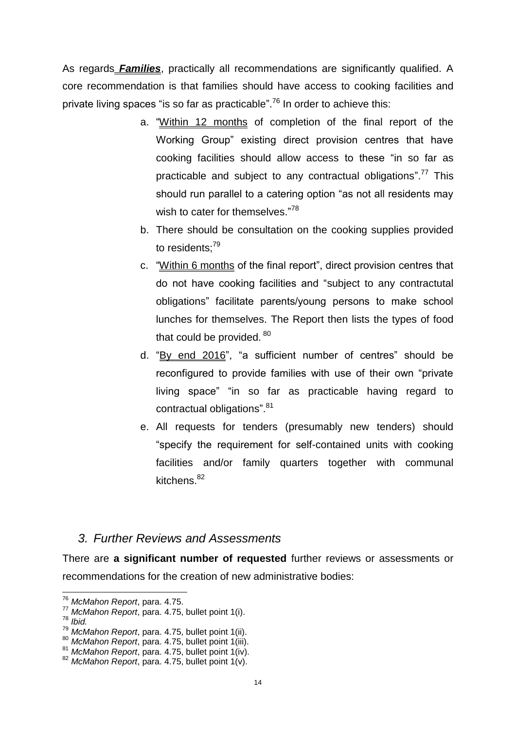As regards *Families*, practically all recommendations are significantly qualified. A core recommendation is that families should have access to cooking facilities and private living spaces "is so far as practicable".<sup>76</sup> In order to achieve this:

- a. "Within 12 months of completion of the final report of the Working Group" existing direct provision centres that have cooking facilities should allow access to these "in so far as practicable and subject to any contractual obligations".<sup>77</sup> This should run parallel to a catering option "as not all residents may wish to cater for themselves."78
- b. There should be consultation on the cooking supplies provided to residents:<sup>79</sup>
- c. "Within 6 months of the final report", direct provision centres that do not have cooking facilities and "subject to any contractutal obligations" facilitate parents/young persons to make school lunches for themselves. The Report then lists the types of food that could be provided. 80
- d. "By end 2016", "a sufficient number of centres" should be reconfigured to provide families with use of their own "private living space" "in so far as practicable having regard to contractual obligations". 81
- e. All requests for tenders (presumably new tenders) should "specify the requirement for self-contained units with cooking facilities and/or family quarters together with communal kitchens. $82$

#### *3. Further Reviews and Assessments*

There are **a significant number of requested** further reviews or assessments or recommendations for the creation of new administrative bodies:

<sup>76</sup> *McMahon Report*, para. 4.75.

<sup>77</sup> *McMahon Report*, para. 4.75, bullet point 1(i).

<sup>78</sup> *Ibid.*

<sup>79</sup> *McMahon Report*, para. 4.75, bullet point 1(ii).

*McMahon Report*, para. 4.75, bullet point 1(iii).

<sup>81</sup> *McMahon Report*, para. 4.75, bullet point 1(iv).

<sup>82</sup> *McMahon Report*, para. 4.75, bullet point 1(v).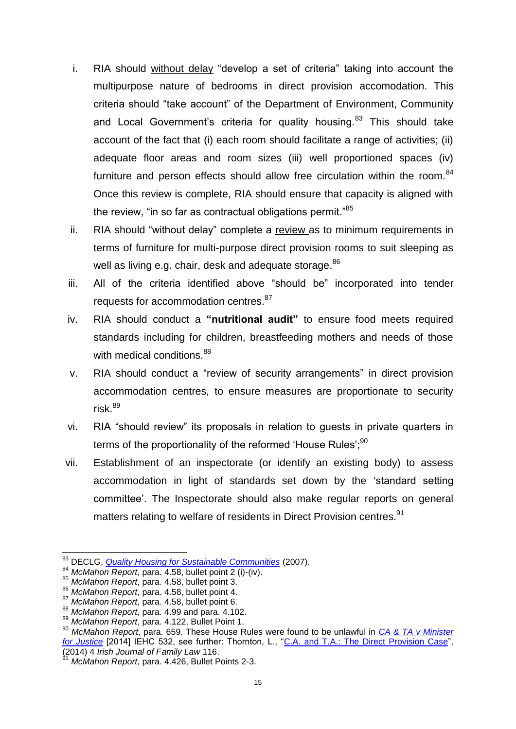- i. RIA should without delay "develop a set of criteria" taking into account the multipurpose nature of bedrooms in direct provision accomodation. This criteria should "take account" of the Department of Environment, Community and Local Government's criteria for quality housing.<sup>83</sup> This should take account of the fact that (i) each room should facilitate a range of activities; (ii) adequate floor areas and room sizes (iii) well proportioned spaces (iv) furniture and person effects should allow free circulation within the room.<sup>84</sup> Once this review is complete, RIA should ensure that capacity is aligned with the review, "in so far as contractual obligations permit."<sup>85</sup>
- ii. RIA should "without delay" complete a review as to minimum requirements in terms of furniture for multi-purpose direct provision rooms to suit sleeping as well as living e.g. chair, desk and adequate storage.<sup>86</sup>
- iii. All of the criteria identified above "should be" incorporated into tender requests for accommodation centres.<sup>87</sup>
- iv. RIA should conduct a **"nutritional audit"** to ensure food meets required standards including for children, breastfeeding mothers and needs of those with medical conditions.<sup>88</sup>
- v. RIA should conduct a "review of security arrangements" in direct provision accommodation centres, to ensure measures are proportionate to security  $risk<sup>89</sup>$
- vi. RIA "should review" its proposals in relation to guests in private quarters in terms of the proportionality of the reformed 'House Rules':<sup>90</sup>
- vii. Establishment of an inspectorate (or identify an existing body) to assess accommodation in light of standards set down by the 'standard setting committee'. The Inspectorate should also make regular reports on general matters relating to welfare of residents in Direct Provision centres.<sup>91</sup>

<sup>83</sup> DECLG, *[Quality Housing for Sustainable Communities](http://www.environ.ie/en/Publications/DevelopmentandHousing/Housing/FileDownLoad,1979,en.pdf)* (2007).

<sup>84</sup> *McMahon Report*, para. 4.58, bullet point 2 (i)-(iv).

<sup>85</sup> *McMahon Report*, para. 4.58, bullet point 3.

<sup>86</sup> *McMahon Report*, para. 4.58, bullet point 4.

<sup>87</sup> *McMahon Report*, para. 4.58, bullet point 6.

<sup>88</sup> *McMahon Report*, para. 4.99 and para. 4.102.

<sup>89</sup> *McMahon Report*, para. 4.122, Bullet Point 1.

<sup>90</sup> *McMahon Report*, para. 659. These House Rules were found to be unlawful in *[CA & TA v Minister](http://www.bailii.org/ie/cases/IEHC/2014/H532.html)  [for Justice](http://www.bailii.org/ie/cases/IEHC/2014/H532.html)* [2014] IEHC 532, see further: Thornton, L., ["C.A. and T.A.: The Direct Provision Case"](http://researchrepository.ucd.ie/handle/10197/6537), (2014) 4 *Irish Journal of Family Law* 116.

<sup>91</sup> *McMahon Report*, para. 4.426, Bullet Points 2-3.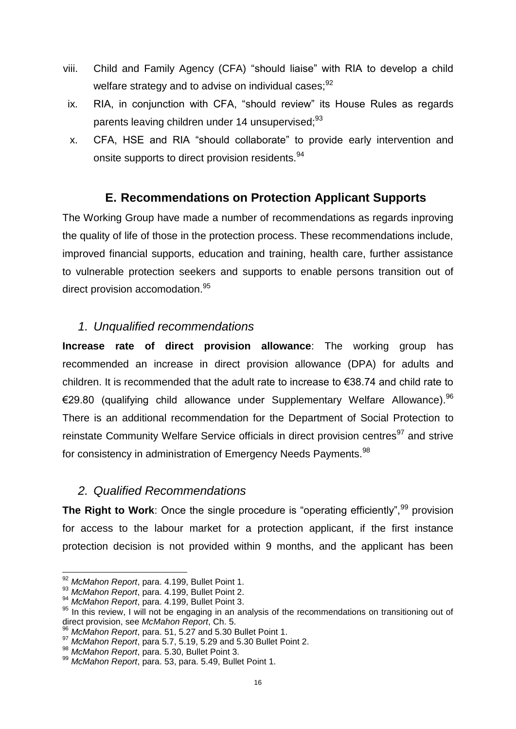- viii. Child and Family Agency (CFA) "should liaise" with RIA to develop a child welfare strategy and to advise on individual cases: <sup>92</sup>
- ix. RIA, in conjunction with CFA, "should review" its House Rules as regards parents leaving children under 14 unsupervised:<sup>93</sup>
- x. CFA, HSE and RIA "should collaborate" to provide early intervention and onsite supports to direct provision residents.<sup>94</sup>

## **E. Recommendations on Protection Applicant Supports**

The Working Group have made a number of recommendations as regards inproving the quality of life of those in the protection process. These recommendations include, improved financial supports, education and training, health care, further assistance to vulnerable protection seekers and supports to enable persons transition out of direct provision accomodation.<sup>95</sup>

#### *1. Unqualified recommendations*

**Increase rate of direct provision allowance**: The working group has recommended an increase in direct provision allowance (DPA) for adults and children. It is recommended that the adult rate to increase to €38.74 and child rate to €29.80 (qualifying child allowance under Supplementary Welfare Allowance).<sup>96</sup> There is an additional recommendation for the Department of Social Protection to reinstate Community Welfare Service officials in direct provision centres<sup>97</sup> and strive for consistency in administration of Emergency Needs Payments. $^{98}$ 

#### *2. Qualified Recommendations*

**The Right to Work:** Once the single procedure is "operating efficiently",<sup>99</sup> provision for access to the labour market for a protection applicant, if the first instance protection decision is not provided within 9 months, and the applicant has been

 $\overline{\phantom{a}}$ <sup>92</sup> *McMahon Report*, para. 4.199, Bullet Point 1.

<sup>93</sup> *McMahon Report*, para. 4.199, Bullet Point 2.

<sup>94</sup> *McMahon Report*, para. 4.199, Bullet Point 3.

<sup>95</sup> In this review, I will not be engaging in an analysis of the recommendations on transitioning out of direct provision, see *McMahon Report*, Ch. 5.

<sup>96</sup> *McMahon Report*, para. 51, 5.27 and 5.30 Bullet Point 1.

<sup>97</sup> *McMahon Report*, para 5.7, 5.19, 5.29 and 5.30 Bullet Point 2.

<sup>98</sup> *McMahon Report*, para. 5.30, Bullet Point 3.

<sup>99</sup> *McMahon Report*, para. 53, para. 5.49, Bullet Point 1.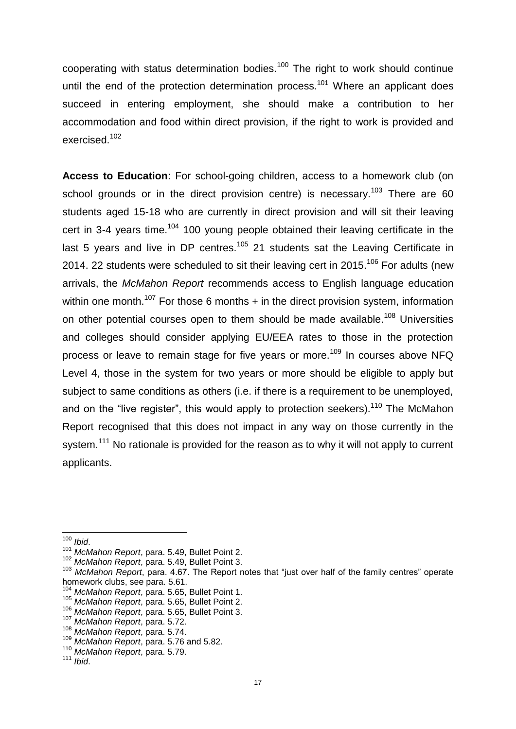cooperating with status determination bodies.<sup>100</sup> The right to work should continue until the end of the protection determination process.<sup>101</sup> Where an applicant does succeed in entering employment, she should make a contribution to her accommodation and food within direct provision, if the right to work is provided and exercised.<sup>102</sup>

**Access to Education**: For school-going children, access to a homework club (on school grounds or in the direct provision centre) is necessary.<sup>103</sup> There are 60 students aged 15-18 who are currently in direct provision and will sit their leaving cert in 3-4 years time.<sup>104</sup> 100 young people obtained their leaving certificate in the last 5 years and live in DP centres.<sup>105</sup> 21 students sat the Leaving Certificate in 2014. 22 students were scheduled to sit their leaving cert in 2015.<sup>106</sup> For adults (new arrivals, the *McMahon Report* recommends access to English language education within one month.<sup>107</sup> For those 6 months  $+$  in the direct provision system, information on other potential courses open to them should be made available.<sup>108</sup> Universities and colleges should consider applying EU/EEA rates to those in the protection process or leave to remain stage for five years or more.<sup>109</sup> In courses above NFQ Level 4, those in the system for two years or more should be eligible to apply but subject to same conditions as others (i.e. if there is a requirement to be unemployed, and on the "live register", this would apply to protection seekers).<sup>110</sup> The McMahon Report recognised that this does not impact in any way on those currently in the system.<sup>111</sup> No rationale is provided for the reason as to why it will not apply to current applicants.

 $\overline{a}$ 

<sup>100</sup> *Ibid*.

<sup>101</sup> *McMahon Report*, para. 5.49, Bullet Point 2.

<sup>102</sup> *McMahon Report*, para. 5.49, Bullet Point 3.

<sup>103</sup> *McMahon Report*, para. 4.67. The Report notes that "just over half of the family centres" operate homework clubs, see para. 5.61.

<sup>104</sup> *McMahon Report*, para. 5.65, Bullet Point 1.

<sup>105</sup> *McMahon Report*, para. 5.65, Bullet Point 2.

<sup>106</sup> *McMahon Report*, para. 5.65, Bullet Point 3.

<sup>107</sup> *McMahon Report*, para. 5.72.

<sup>108</sup> *McMahon Report*, para. 5.74.

<sup>109</sup> *McMahon Report*, para. 5.76 and 5.82.

<sup>110</sup> *McMahon Report*, para. 5.79.

<sup>111</sup> *Ibid*.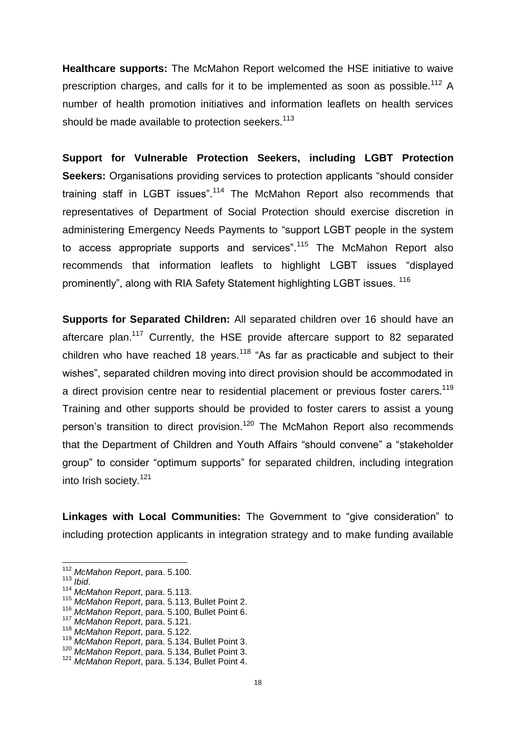**Healthcare supports:** The McMahon Report welcomed the HSE initiative to waive prescription charges, and calls for it to be implemented as soon as possible.<sup>112</sup> A number of health promotion initiatives and information leaflets on health services should be made available to protection seekers.<sup>113</sup>

**Support for Vulnerable Protection Seekers, including LGBT Protection Seekers:** Organisations providing services to protection applicants "should consider training staff in LGBT issues".<sup>114</sup> The McMahon Report also recommends that representatives of Department of Social Protection should exercise discretion in administering Emergency Needs Payments to "support LGBT people in the system to access appropriate supports and services".<sup>115</sup> The McMahon Report also recommends that information leaflets to highlight LGBT issues "displayed prominently", along with RIA Safety Statement highlighting LGBT issues. <sup>116</sup>

**Supports for Separated Children:** All separated children over 16 should have an aftercare plan.<sup>117</sup> Currently, the HSE provide aftercare support to 82 separated children who have reached 18 years.<sup>118</sup> "As far as practicable and subject to their wishes", separated children moving into direct provision should be accommodated in a direct provision centre near to residential placement or previous foster carers.<sup>119</sup> Training and other supports should be provided to foster carers to assist a young person's transition to direct provision.<sup>120</sup> The McMahon Report also recommends that the Department of Children and Youth Affairs "should convene" a "stakeholder group" to consider "optimum supports" for separated children, including integration into Irish society.<sup>121</sup>

**Linkages with Local Communities:** The Government to "give consideration" to including protection applicants in integration strategy and to make funding available

<sup>113</sup> *Ibid*.

 $\overline{\phantom{a}}$ 

<sup>117</sup> *McMahon Report*, para. 5.121.

<sup>112</sup> *McMahon Report*, para. 5.100.

<sup>114</sup> *McMahon Report*, para. 5.113.

<sup>115</sup> *McMahon Report*, para. 5.113, Bullet Point 2.

<sup>116</sup> *McMahon Report*, para. 5.100, Bullet Point 6.

<sup>118</sup> *McMahon Report*, para. 5.122.

<sup>119</sup> *McMahon Report*, para. 5.134, Bullet Point 3.

<sup>120</sup> *McMahon Report*, para. 5.134, Bullet Point 3.

<sup>121</sup> *McMahon Report*, para. 5.134, Bullet Point 4.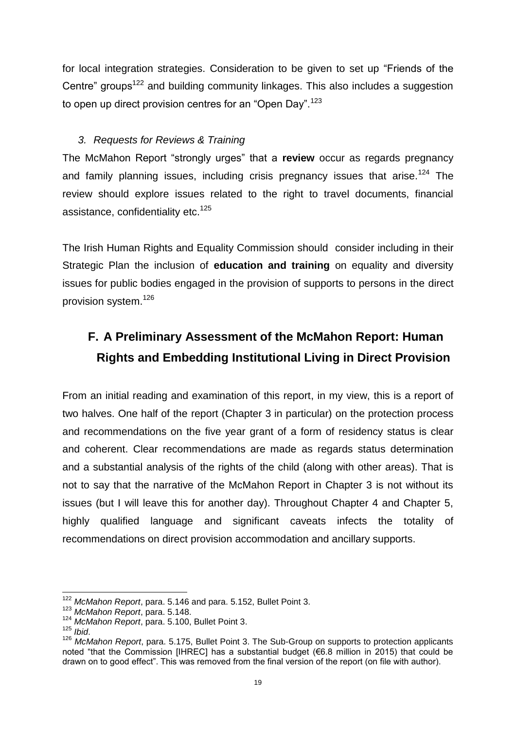for local integration strategies. Consideration to be given to set up "Friends of the Centre" groups<sup>122</sup> and building community linkages. This also includes a suggestion to open up direct provision centres for an "Open Day".<sup>123</sup>

#### *3. Requests for Reviews & Training*

The McMahon Report "strongly urges" that a **review** occur as regards pregnancy and family planning issues, including crisis pregnancy issues that arise.<sup>124</sup> The review should explore issues related to the right to travel documents, financial assistance, confidentiality etc.<sup>125</sup>

The Irish Human Rights and Equality Commission should consider including in their Strategic Plan the inclusion of **education and training** on equality and diversity issues for public bodies engaged in the provision of supports to persons in the direct provision system. 126

## **F. A Preliminary Assessment of the McMahon Report: Human Rights and Embedding Institutional Living in Direct Provision**

From an initial reading and examination of this report, in my view, this is a report of two halves. One half of the report (Chapter 3 in particular) on the protection process and recommendations on the five year grant of a form of residency status is clear and coherent. Clear recommendations are made as regards status determination and a substantial analysis of the rights of the child (along with other areas). That is not to say that the narrative of the McMahon Report in Chapter 3 is not without its issues (but I will leave this for another day). Throughout Chapter 4 and Chapter 5, highly qualified language and significant caveats infects the totality of recommendations on direct provision accommodation and ancillary supports.

<sup>122</sup> *McMahon Report*, para. 5.146 and para. 5.152, Bullet Point 3.

<sup>123</sup> *McMahon Report*, para. 5.148.

<sup>124</sup> *McMahon Report*, para. 5.100, Bullet Point 3.

<sup>125</sup> *Ibid*.

<sup>126</sup> *McMahon Report*, para. 5.175, Bullet Point 3. The Sub-Group on supports to protection applicants noted "that the Commission [IHREC] has a substantial budget (€6.8 million in 2015) that could be drawn on to good effect". This was removed from the final version of the report (on file with author).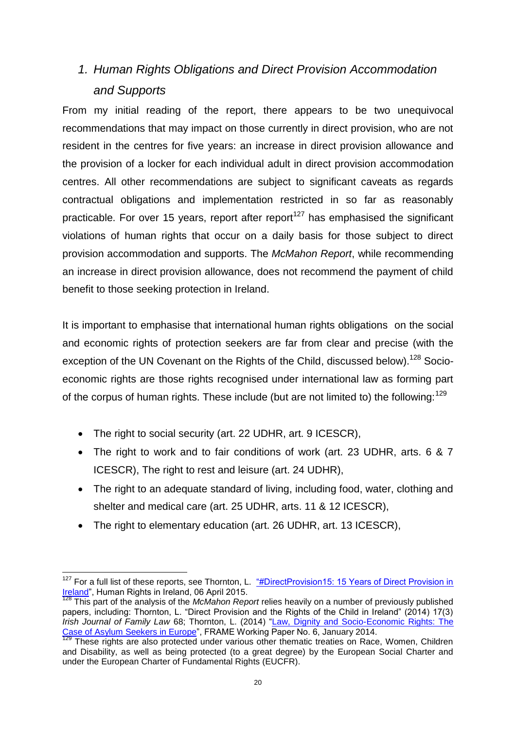## *1. Human Rights Obligations and Direct Provision Accommodation and Supports*

From my initial reading of the report, there appears to be two unequivocal recommendations that may impact on those currently in direct provision, who are not resident in the centres for five years: an increase in direct provision allowance and the provision of a locker for each individual adult in direct provision accommodation centres. All other recommendations are subject to significant caveats as regards contractual obligations and implementation restricted in so far as reasonably practicable. For over 15 years, report after report<sup>127</sup> has emphasised the significant violations of human rights that occur on a daily basis for those subject to direct provision accommodation and supports. The *McMahon Report*, while recommending an increase in direct provision allowance, does not recommend the payment of child benefit to those seeking protection in Ireland.

It is important to emphasise that international human rights obligations on the social and economic rights of protection seekers are far from clear and precise (with the exception of the UN Covenant on the Rights of the Child, discussed below).<sup>128</sup> Socioeconomic rights are those rights recognised under international law as forming part of the corpus of human rights. These include (but are not limited to) the following:  $129$ 

- The right to social security (art. 22 UDHR, art. 9 ICESCR),
- The right to work and to fair conditions of work (art. 23 UDHR, arts. 6 & 7 ICESCR), The right to rest and leisure (art. 24 UDHR),
- The right to an adequate standard of living, including food, water, clothing and shelter and medical care (art. 25 UDHR, arts. 11 & 12 ICESCR),
- The right to elementary education (art. 26 UDHR, art. 13 ICESCR),

 $\overline{a}$  $127$  For a full list of these reports, see Thornton, L. "#DirectProvision15: 15 Years of Direct Provision in [Ireland"](http://humanrights.ie/children-and-the-law/directprovision15-15-years-of-direct-provision-in-ireland/), Human Rights in Ireland, 06 April 2015.

<span id="page-20-0"></span><sup>128</sup> This part of the analysis of the *McMahon Report* relies heavily on a number of previously published papers, including: Thornton, L. "Direct Provision and the Rights of the Child in Ireland" (2014) 17(3) *Irish Journal of Family Law* 68; Thornton, L. (2014) ["Law, Dignity and Socio-Economic Rights: The](http://www.fp7-frame.eu/wp-content/materiale/w-papers/Law-Dignity-Socio-Economic-Rights-The-Case-of-Asylum-Seekers-in-Europe.pdf)  [Case of Asylum Seekers in Europe"](http://www.fp7-frame.eu/wp-content/materiale/w-papers/Law-Dignity-Socio-Economic-Rights-The-Case-of-Asylum-Seekers-in-Europe.pdf), FRAME Working Paper No. 6, January 2014.

<sup>&</sup>lt;sup>129</sup> These rights are also protected under various other thematic treaties on Race, Women, Children and Disability, as well as being protected (to a great degree) by the European Social Charter and under the European Charter of Fundamental Rights (EUCFR).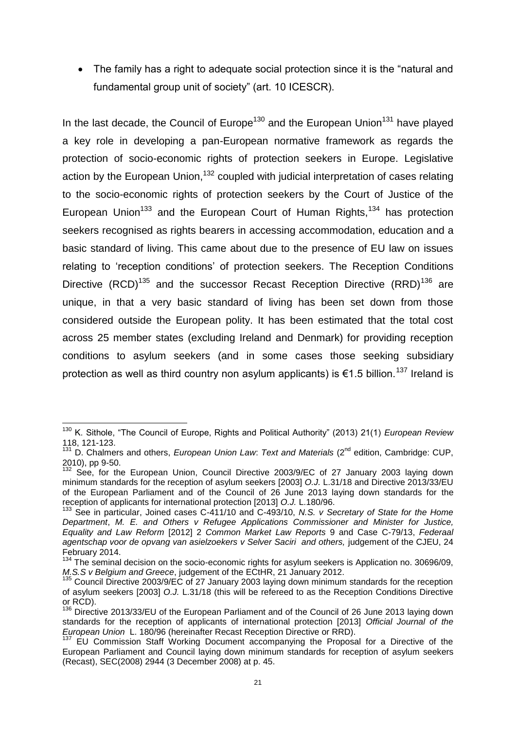• The family has a right to adequate social protection since it is the "natural and fundamental group unit of society" (art. 10 ICESCR).

In the last decade, the Council of Europe<sup>130</sup> and the European Union<sup>131</sup> have played a key role in developing a pan-European normative framework as regards the protection of socio-economic rights of protection seekers in Europe. Legislative action by the European Union,  $132$  coupled with judicial interpretation of cases relating to the socio-economic rights of protection seekers by the Court of Justice of the European Union<sup>133</sup> and the European Court of Human Rights,<sup>134</sup> has protection seekers recognised as rights bearers in accessing accommodation, education and a basic standard of living. This came about due to the presence of EU law on issues relating to 'reception conditions' of protection seekers. The Reception Conditions Directive  $(RCD)^{135}$  and the successor Recast Reception Directive  $(RRD)^{136}$  are unique, in that a very basic standard of living has been set down from those considered outside the European polity. It has been estimated that the total cost across 25 member states (excluding Ireland and Denmark) for providing reception conditions to asylum seekers (and in some cases those seeking subsidiary protection as well as third country non asylum applicants) is €1.5 billion.<sup>137</sup> Ireland is

**<sup>.</sup>** <sup>130</sup> K. Sithole, "The Council of Europe, Rights and Political Authority" (2013) 21(1) *European Review* 118, 121-123.

<sup>&</sup>lt;sup>131</sup> D. Chalmers and others, *European Union Law: Text and Materials* (2<sup>nd</sup> edition, Cambridge: CUP, 2010), pp 9-50.

<sup>&</sup>lt;sup>132</sup> See, for the European Union, Council Directive 2003/9/EC of 27 January 2003 laying down minimum standards for the reception of asylum seekers [2003] *O.J.* L.31/18 and Directive 2013/33/EU of the European Parliament and of the Council of 26 June 2013 laying down standards for the reception of applicants for international protection [2013] *O.J.* L.180/96.

<sup>133</sup> See in particular, Joined cases C-411/10 and C-493/10, *N.S. v Secretary of State for the Home Department*, *M. E. and Others v Refugee Applications Commissioner and Minister for Justice, Equality and Law Reform* [2012] 2 *Common Market Law Reports* 9 and Case C-79/13, *Federaal agentschap voor de opvang van asielzoekers v Selver Saciri and others,* judgement of the CJEU, 24 February 2014.

<sup>&</sup>lt;sup>134</sup> The seminal decision on the socio-economic rights for asylum seekers is Application no. 30696/09, *M.S.S v Belgium and Greece*, judgement of the ECtHR, 21 January 2012.

 $135$  Council Directive 2003/9/EC of 27 January 2003 laying down minimum standards for the reception of asylum seekers [2003] *O.J.* L.31/18 (this will be refereed to as the Reception Conditions Directive or RCD).

<sup>&</sup>lt;sup>136</sup> Directive 2013/33/EU of the European Parliament and of the Council of 26 June 2013 laying down standards for the reception of applicants of international protection [2013] *Official Journal of the European Union* L. 180/96 (hereinafter Recast Reception Directive or RRD).

<sup>&</sup>lt;sup>137</sup> EU Commission Staff Working Document accompanying the Proposal for a Directive of the European Parliament and Council laying down minimum standards for reception of asylum seekers (Recast), SEC(2008) 2944 (3 December 2008) at p. 45.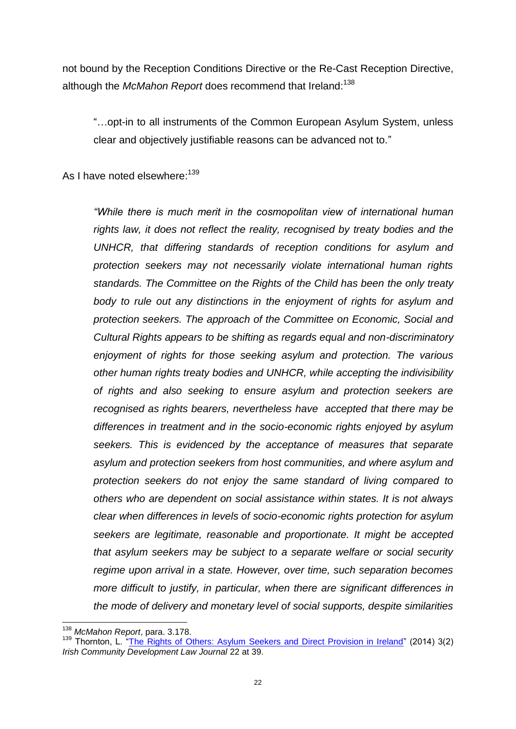not bound by the Reception Conditions Directive or the Re-Cast Reception Directive, although the *McMahon Report* does recommend that Ireland:<sup>138</sup>

"…opt-in to all instruments of the Common European Asylum System, unless clear and objectively justifiable reasons can be advanced not to."

As I have noted elsewhere:<sup>139</sup>

*"While there is much merit in the cosmopolitan view of international human rights law, it does not reflect the reality, recognised by treaty bodies and the UNHCR, that differing standards of reception conditions for asylum and protection seekers may not necessarily violate international human rights standards. The Committee on the Rights of the Child has been the only treaty body to rule out any distinctions in the enjoyment of rights for asylum and protection seekers. The approach of the Committee on Economic, Social and Cultural Rights appears to be shifting as regards equal and non-discriminatory enjoyment of rights for those seeking asylum and protection. The various other human rights treaty bodies and UNHCR, while accepting the indivisibility of rights and also seeking to ensure asylum and protection seekers are recognised as rights bearers, nevertheless have accepted that there may be differences in treatment and in the socio-economic rights enjoyed by asylum seekers. This is evidenced by the acceptance of measures that separate asylum and protection seekers from host communities, and where asylum and protection seekers do not enjoy the same standard of living compared to others who are dependent on social assistance within states. It is not always clear when differences in levels of socio-economic rights protection for asylum seekers are legitimate, reasonable and proportionate. It might be accepted that asylum seekers may be subject to a separate welfare or social security regime upon arrival in a state. However, over time, such separation becomes more difficult to justify, in particular, when there are significant differences in the mode of delivery and monetary level of social supports, despite similarities* 

 $\overline{\phantom{a}}$ <sup>138</sup> *McMahon Report*, para. 3.178.

<sup>139</sup> Thornton, L. ["The Rights of Others: Asylum Seekers and Direct Provision in Ireland"](http://www.communitylawandmediation.ie/_fileupload/The%20Journal/CLM-eJournal-Issue-2-Volume-3%20(December%202014).pdf) (2014) 3(2) *Irish Community Development Law Journal* 22 at 39.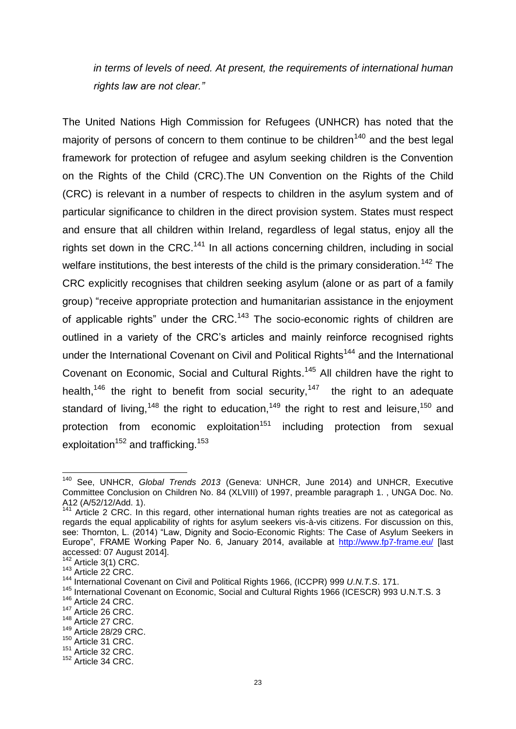*in terms of levels of need. At present, the requirements of international human rights law are not clear."*

The United Nations High Commission for Refugees (UNHCR) has noted that the majority of persons of concern to them continue to be children<sup>140</sup> and the best legal framework for protection of refugee and asylum seeking children is the Convention on the Rights of the Child (CRC).The UN Convention on the Rights of the Child (CRC) is relevant in a number of respects to children in the asylum system and of particular significance to children in the direct provision system. States must respect and ensure that all children within Ireland, regardless of legal status, enjoy all the rights set down in the CRC.<sup>141</sup> In all actions concerning children, including in social welfare institutions, the best interests of the child is the primary consideration.<sup>142</sup> The CRC explicitly recognises that children seeking asylum (alone or as part of a family group) "receive appropriate protection and humanitarian assistance in the enjoyment of applicable rights" under the CRC.<sup>143</sup> The socio-economic rights of children are outlined in a variety of the CRC's articles and mainly reinforce recognised rights under the International Covenant on Civil and Political Rights<sup>144</sup> and the International Covenant on Economic, Social and Cultural Rights.<sup>145</sup> All children have the right to health,<sup>146</sup> the right to benefit from social security,<sup>147</sup> the right to an adequate standard of living,<sup>148</sup> the right to education,<sup>149</sup> the right to rest and leisure,<sup>150</sup> and protection from economic exploitation<sup>151</sup> including protection from sexual exploitation<sup>152</sup> and trafficking.<sup>153</sup>

 $\overline{\phantom{a}}$ <sup>140</sup> See, UNHCR, *Global Trends 2013* (Geneva: UNHCR, June 2014) and UNHCR, Executive Committee Conclusion on Children No. 84 (XLVIII) of 1997, preamble paragraph 1. , UNGA Doc. No. A12 (A/52/12/Add. 1).

Article 2 CRC. In this regard, other international human rights treaties are not as categorical as regards the equal applicability of rights for asylum seekers vis-à-vis citizens. For discussion on this, see: Thornton, L. (2014) "Law, Dignity and Socio-Economic Rights: The Case of Asylum Seekers in Europe", FRAME Working Paper No. 6, January 2014, available at <http://www.fp7-frame.eu/> [last accessed: 07 August 2014].

 $142$  Article 3(1) CRC.

 $143$  Article 22 CRC.

<sup>144</sup> International Covenant on Civil and Political Rights 1966, (ICCPR) 999 *U.N.T.S*. 171.

<sup>145</sup> International Covenant on Economic, Social and Cultural Rights 1966 (ICESCR) 993 U.N.T.S. 3

<sup>&</sup>lt;sup>146</sup> Article 24 CRC.

<sup>&</sup>lt;sup>147</sup> Article 26 CRC.

<sup>&</sup>lt;sup>148</sup> Article 27 CRC.

<sup>149</sup> Article 28/29 CRC.

<sup>&</sup>lt;sup>150</sup> Article 31 CRC.

<sup>&</sup>lt;sup>151</sup> Article 32 CRC.

<sup>152</sup> Article 34 CRC.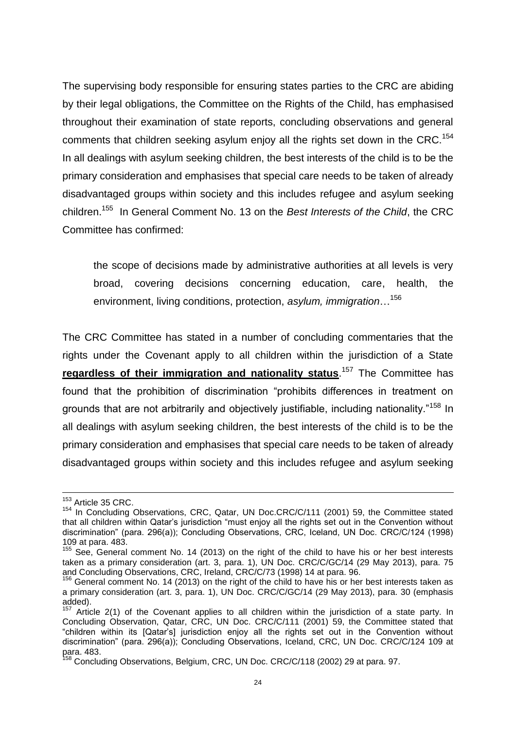The supervising body responsible for ensuring states parties to the CRC are abiding by their legal obligations, the Committee on the Rights of the Child, has emphasised throughout their examination of state reports, concluding observations and general comments that children seeking asylum enjoy all the rights set down in the CRC.<sup>154</sup> In all dealings with asylum seeking children, the best interests of the child is to be the primary consideration and emphasises that special care needs to be taken of already disadvantaged groups within society and this includes refugee and asylum seeking children.<sup>155</sup> In General Comment No. 13 on the *Best Interests of the Child*, the CRC Committee has confirmed:

the scope of decisions made by administrative authorities at all levels is very broad, covering decisions concerning education, care, health, the environment, living conditions, protection, *asylum, immigration*…<sup>156</sup>

The CRC Committee has stated in a number of concluding commentaries that the rights under the Covenant apply to all children within the jurisdiction of a State **regardless of their immigration and nationality status**. <sup>157</sup> The Committee has found that the prohibition of discrimination "prohibits differences in treatment on grounds that are not arbitrarily and objectively justifiable, including nationality."<sup>158</sup> In all dealings with asylum seeking children, the best interests of the child is to be the primary consideration and emphasises that special care needs to be taken of already disadvantaged groups within society and this includes refugee and asylum seeking

<sup>&</sup>lt;sup>153</sup> Article 35 CRC.

<sup>&</sup>lt;sup>154</sup> In Concluding Observations, CRC, Qatar, UN Doc.CRC/C/111 (2001) 59, the Committee stated that all children within Qatar's jurisdiction "must enjoy all the rights set out in the Convention without discrimination" (para. 296(a)); Concluding Observations, CRC, Iceland, UN Doc. CRC/C/124 (1998) 109 at para. 483.

 $155$  See, General comment No. 14 (2013) on the right of the child to have his or her best interests taken as a primary consideration (art. 3, para. 1), UN Doc. CRC/C/GC/14 (29 May 2013), para. 75 and Concluding Observations, CRC, Ireland, CRC/C/73 (1998) 14 at para. 96.

 $156$  General comment No. 14 (2013) on the right of the child to have his or her best interests taken as a primary consideration (art. 3, para. 1), UN Doc. CRC/C/GC/14 (29 May 2013), para. 30 (emphasis added).

<sup>&</sup>lt;sup>157</sup> Article 2(1) of the Covenant applies to all children within the jurisdiction of a state party. In Concluding Observation, Qatar, CRC, UN Doc. CRC/C/111 (2001) 59, the Committee stated that "children within its [Qatar's] jurisdiction enjoy all the rights set out in the Convention without discrimination" (para. 296(a)); Concluding Observations, Iceland, CRC, UN Doc. CRC/C/124 109 at para. 483.

<sup>&</sup>lt;sup>158</sup> Concluding Observations, Belgium, CRC, UN Doc. CRC/C/118 (2002) 29 at para. 97.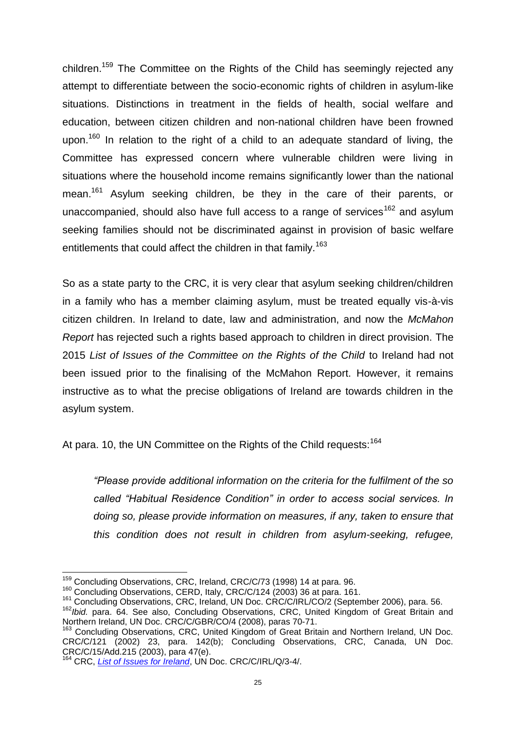children.<sup>159</sup> The Committee on the Rights of the Child has seemingly rejected any attempt to differentiate between the socio-economic rights of children in asylum-like situations. Distinctions in treatment in the fields of health, social welfare and education, between citizen children and non-national children have been frowned upon.<sup>160</sup> In relation to the right of a child to an adequate standard of living, the Committee has expressed concern where vulnerable children were living in situations where the household income remains significantly lower than the national mean.<sup>161</sup> Asylum seeking children, be they in the care of their parents, or unaccompanied, should also have full access to a range of services<sup>162</sup> and asylum seeking families should not be discriminated against in provision of basic welfare entitlements that could affect the children in that family.<sup>163</sup>

So as a state party to the CRC, it is very clear that asylum seeking children/children in a family who has a member claiming asylum, must be treated equally vis-à-vis citizen children. In Ireland to date, law and administration, and now the *McMahon Report* has rejected such a rights based approach to children in direct provision. The 2015 *List of Issues of the Committee on the Rights of the Child* to Ireland had not been issued prior to the finalising of the McMahon Report. However, it remains instructive as to what the precise obligations of Ireland are towards children in the asylum system.

At para. 10, the UN Committee on the Rights of the Child requests: 164

*"Please provide additional information on the criteria for the fulfilment of the so called "Habitual Residence Condition" in order to access social services. In doing so, please provide information on measures, if any, taken to ensure that this condition does not result in children from asylum-seeking, refugee,* 

 $\overline{a}$ <sup>159</sup> Concluding Observations, CRC, Ireland, CRC/C/73 (1998) 14 at para. 96.

<sup>&</sup>lt;sup>160</sup> Concluding Observations, CERD, Italy, CRC/C/124 (2003) 36 at para. 161.

<sup>161</sup> Concluding Observations, CRC, Ireland, UN Doc. CRC/C/IRL/CO/2 (September 2006), para. 56.

<sup>162</sup>*Ibid.* para. 64. See also, Concluding Observations, CRC, United Kingdom of Great Britain and Northern Ireland, UN Doc. CRC/C/GBR/CO/4 (2008), paras 70-71.

Concluding Observations, CRC, United Kingdom of Great Britain and Northern Ireland, UN Doc. CRC/C/121 (2002) 23, para. 142(b); Concluding Observations, CRC, Canada, UN Doc. CRC/C/15/Add.215 (2003), para 47(e).

<sup>164</sup> CRC, *[List of Issues for Ireland](http://www.childrensrights.ie/sites/default/files/submissions_reports/files/CRC-3rd4thRptListofIssues0615.pdf)*, UN Doc. CRC/C/IRL/Q/3-4/.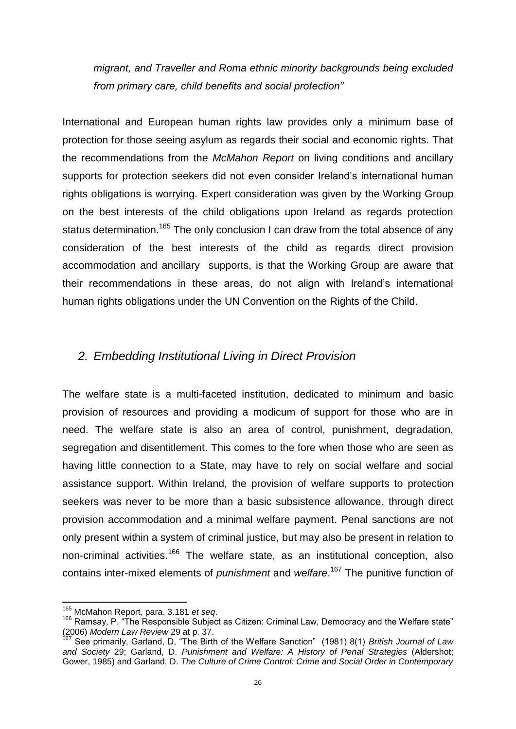*migrant, and Traveller and Roma ethnic minority backgrounds being excluded from primary care, child benefits and social protection"*

International and European human rights law provides only a minimum base of protection for those seeing asylum as regards their social and economic rights. That the recommendations from the *McMahon Report* on living conditions and ancillary supports for protection seekers did not even consider Ireland's international human rights obligations is worrying. Expert consideration was given by the Working Group on the best interests of the child obligations upon Ireland as regards protection status determination.<sup>165</sup> The only conclusion I can draw from the total absence of any consideration of the best interests of the child as regards direct provision accommodation and ancillary supports, is that the Working Group are aware that their recommendations in these areas, do not align with Ireland's international human rights obligations under the UN Convention on the Rights of the Child.

#### *2. Embedding Institutional Living in Direct Provision*

The welfare state is a multi-faceted institution, dedicated to minimum and basic provision of resources and providing a modicum of support for those who are in need. The welfare state is also an area of control, punishment, degradation, segregation and disentitlement. This comes to the fore when those who are seen as having little connection to a State, may have to rely on social welfare and social assistance support. Within Ireland, the provision of welfare supports to protection seekers was never to be more than a basic subsistence allowance, through direct provision accommodation and a minimal welfare payment. Penal sanctions are not only present within a system of criminal justice, but may also be present in relation to non-criminal activities.<sup>166</sup> The welfare state, as an institutional conception, also contains inter-mixed elements of *punishment* and *welfare*. <sup>167</sup> The punitive function of

<span id="page-26-0"></span><sup>165</sup> McMahon Report, para. 3.181 *et seq*.

<span id="page-26-1"></span> $166$  Ramsay, P. "The Responsible Subject as Citizen: Criminal Law, Democracy and the Welfare state" (2006) *Modern Law Review* 29 at p. 37.

<sup>167</sup> See primarily, Garland, D, "The Birth of the Welfare Sanction" (1981) 8(1) *British Journal of Law and Society* 29; Garland, D. *Punishment and Welfare: A History of Penal Strategies* (Aldershot; Gower, 1985) and Garland, D. *The Culture of Crime Control: Crime and Social Order in Contemporary*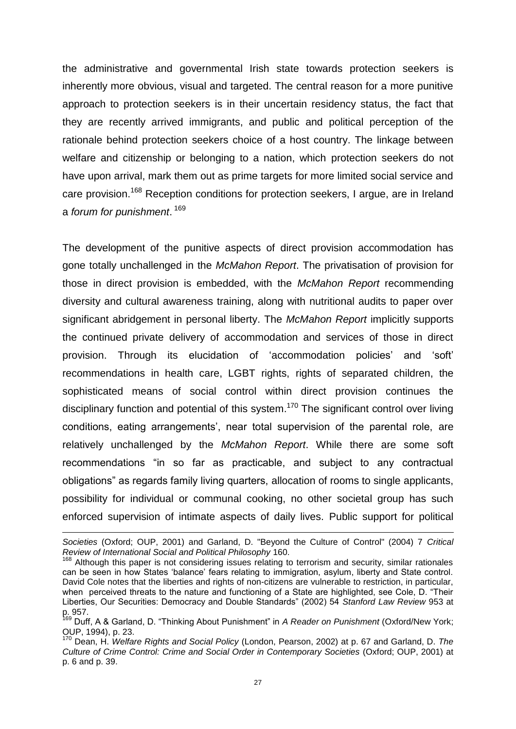the administrative and governmental Irish state towards protection seekers is inherently more obvious, visual and targeted. The central reason for a more punitive approach to protection seekers is in their uncertain residency status, the fact that they are recently arrived immigrants, and public and political perception of the rationale behind protection seekers choice of a host country. The linkage between welfare and citizenship or belonging to a nation, which protection seekers do not have upon arrival, mark them out as prime targets for more limited social service and care provision.<sup>168</sup> Reception conditions for protection seekers, I argue, are in Ireland a *forum for punishment*. 169

The development of the punitive aspects of direct provision accommodation has gone totally unchallenged in the *McMahon Report*. The privatisation of provision for those in direct provision is embedded, with the *McMahon Report* recommending diversity and cultural awareness training, along with nutritional audits to paper over significant abridgement in personal liberty. The *McMahon Report* implicitly supports the continued private delivery of accommodation and services of those in direct provision. Through its elucidation of 'accommodation policies' and 'soft' recommendations in health care, LGBT rights, rights of separated children, the sophisticated means of social control within direct provision continues the disciplinary function and potential of this system.<sup>170</sup> The significant control over living conditions, eating arrangements', near total supervision of the parental role, are relatively unchallenged by the *McMahon Report*. While there are some soft recommendations "in so far as practicable, and subject to any contractual obligations" as regards family living quarters, allocation of rooms to single applicants, possibility for individual or communal cooking, no other societal group has such enforced supervision of intimate aspects of daily lives. Public support for political

<span id="page-27-0"></span>*Societies* (Oxford; OUP, 2001) and Garland, D. "Beyond the Culture of Control" (2004) 7 *Critical Review of International Social and Political Philosophy* 160.

<sup>&</sup>lt;sup>168</sup> Although this paper is not considering issues relating to terrorism and security, similar rationales can be seen in how States 'balance' fears relating to immigration, asylum, liberty and State control. David Cole notes that the liberties and rights of non-citizens are vulnerable to restriction, in particular, when perceived threats to the nature and functioning of a State are highlighted, see Cole, D. "Their Liberties, Our Securities: Democracy and Double Standards" (2002) 54 *Stanford Law Review* 953 at p. 957.

<sup>169</sup> Duff, A & Garland, D. "Thinking About Punishment" in *A Reader on Punishment* (Oxford/New York; OUP, 1994), p. 23.

<sup>170</sup> Dean, H. *Welfare Rights and Social Policy* (London, Pearson, 2002) at p. 67 and Garland, D. *The Culture of Crime Control: Crime and Social Order in Contemporary Societies* (Oxford; OUP, 2001) at p. 6 and p. 39.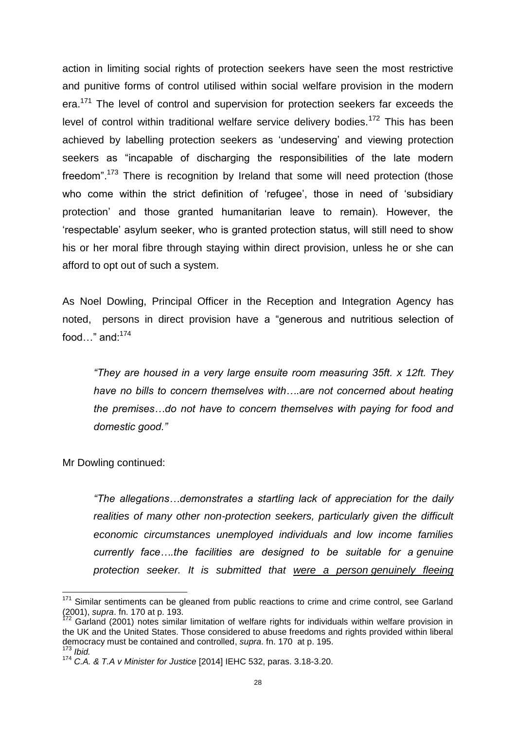action in limiting social rights of protection seekers have seen the most restrictive and punitive forms of control utilised within social welfare provision in the modern era.<sup>171</sup> The level of control and supervision for protection seekers far exceeds the level of control within traditional welfare service delivery bodies.<sup>172</sup> This has been achieved by labelling protection seekers as 'undeserving' and viewing protection seekers as "incapable of discharging the responsibilities of the late modern freedom".<sup>173</sup> There is recognition by Ireland that some will need protection (those who come within the strict definition of 'refugee', those in need of 'subsidiary protection' and those granted humanitarian leave to remain). However, the 'respectable' asylum seeker, who is granted protection status, will still need to show his or her moral fibre through staying within direct provision, unless he or she can afford to opt out of such a system.

As Noel Dowling, Principal Officer in the Reception and Integration Agency has noted, persons in direct provision have a "generous and nutritious selection of food..." and: $174$ 

*"They are housed in a very large ensuite room measuring 35ft. x 12ft. They have no bills to concern themselves with….are not concerned about heating the premises…do not have to concern themselves with paying for food and domestic good."*

Mr Dowling continued:

**.** 

*"The allegations…demonstrates a startling lack of appreciation for the daily realities of many other non-protection seekers, particularly given the difficult economic circumstances unemployed individuals and low income families currently face….the facilities are designed to be suitable for a genuine protection seeker. It is submitted that were a person genuinely fleeing* 

<sup>&</sup>lt;sup>171</sup> Similar sentiments can be gleaned from public reactions to crime and crime control, see Garland (2001), *supra*. fn. [170](#page-27-0) at p. 193.

Garland (2001) notes similar limitation of welfare rights for individuals within welfare provision in the UK and the United States. Those considered to abuse freedoms and rights provided within liberal democracy must be contained and controlled, *supra*. fn. [170](#page-27-0) at p. 195. <sup>173</sup> *Ibid.*

<sup>174</sup> *C.A. & T.A v Minister for Justice* [2014] IEHC 532, paras. 3.18-3.20.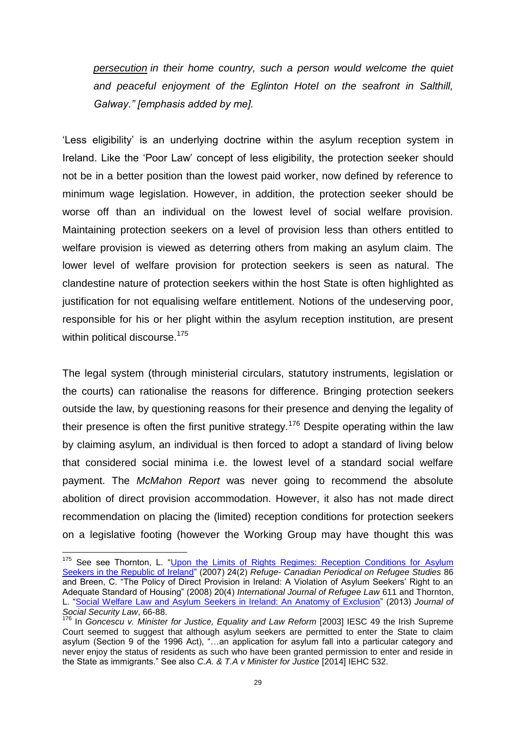*persecution in their home country, such a person would welcome the quiet and peaceful enjoyment of the Eglinton Hotel on the seafront in Salthill, Galway." [emphasis added by me].*

'Less eligibility' is an underlying doctrine within the asylum reception system in Ireland. Like the 'Poor Law' concept of less eligibility, the protection seeker should not be in a better position than the lowest paid worker, now defined by reference to minimum wage legislation. However, in addition, the protection seeker should be worse off than an individual on the lowest level of social welfare provision. Maintaining protection seekers on a level of provision less than others entitled to welfare provision is viewed as deterring others from making an asylum claim. The lower level of welfare provision for protection seekers is seen as natural. The clandestine nature of protection seekers within the host State is often highlighted as justification for not equalising welfare entitlement. Notions of the undeserving poor, responsible for his or her plight within the asylum reception institution, are present within political discourse.<sup>175</sup>

The legal system (through ministerial circulars, statutory instruments, legislation or the courts) can rationalise the reasons for difference. Bringing protection seekers outside the law, by questioning reasons for their presence and denying the legality of their presence is often the first punitive strategy.<sup>176</sup> Despite operating within the law by claiming asylum, an individual is then forced to adopt a standard of living below that considered social minima i.e. the lowest level of a standard social welfare payment. The *McMahon Report* was never going to recommend the absolute abolition of direct provision accommodation. However, it also has not made direct recommendation on placing the (limited) reception conditions for protection seekers on a legislative footing (however the Working Group may have thought this was

<sup>&</sup>lt;sup>175</sup> See see Thornton, L. "Upon the Limits of Rights Regimes: Reception Conditions for Asylum [Seekers in the Republic of Ireland"](https://www.google.ie/url?sa=t&rct=j&q=&esrc=s&source=web&cd=1&cad=rja&uact=8&ved=0CCEQFjAA&url=http%3A%2F%2Fresearchrepository.ucd.ie%2Fhandle%2F10197%2F4567&ei=xK-SVeDoE4Oc7gaZ-p_gBw&usg=AFQjCNFgNn6Jrej4-soksvCcz4ZT-Eny7A&sig2=XZeH4O12N1w1Cjs95KkiOg&bvm=bv.96783405,d.ZGU) (2007) 24(2) *Refuge- Canadian Periodical on Refugee Studies* 86 and Breen, C. "The Policy of Direct Provision in Ireland: A Violation of Asylum Seekers' Right to an Adequate Standard of Housing" (2008) 20(4) *International Journal of Refugee Law* 611 and Thornton, L. ["Social Welfare Law and Asylum Seekers in Ireland: An Anatomy of Exclusion"](http://researchrepository.ucd.ie/handle/10197/4568) (2013) *Journal of Social Security Law*, 66-88.

<sup>&</sup>lt;sup>176</sup> In *Goncescu v. Minister for Justice, Equality and Law Reform* [2003] IESC 49 the Irish Supreme Court seemed to suggest that although asylum seekers are permitted to enter the State to claim asylum (Section 9 of the 1996 Act), "…an application for asylum fall into a particular category and never enjoy the status of residents as such who have been granted permission to enter and reside in the State as immigrants." See also *C.A. & T.A v Minister for Justice* [2014] IEHC 532.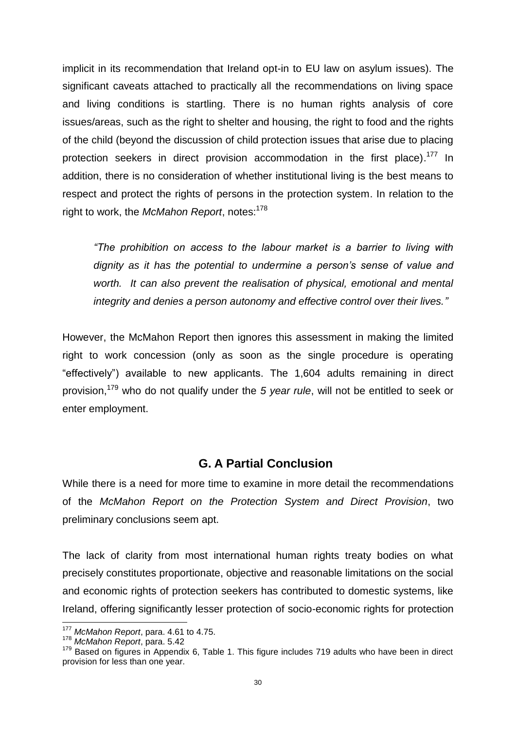implicit in its recommendation that Ireland opt-in to EU law on asylum issues). The significant caveats attached to practically all the recommendations on living space and living conditions is startling. There is no human rights analysis of core issues/areas, such as the right to shelter and housing, the right to food and the rights of the child (beyond the discussion of child protection issues that arise due to placing protection seekers in direct provision accommodation in the first place).<sup>177</sup> In addition, there is no consideration of whether institutional living is the best means to respect and protect the rights of persons in the protection system. In relation to the right to work, the McMahon Report, notes:<sup>178</sup>

*"The prohibition on access to the labour market is a barrier to living with dignity as it has the potential to undermine a person's sense of value and*  worth. It can also prevent the realisation of physical, emotional and mental *integrity and denies a person autonomy and effective control over their lives."*

However, the McMahon Report then ignores this assessment in making the limited right to work concession (only as soon as the single procedure is operating "effectively") available to new applicants. The 1,604 adults remaining in direct provision,<sup>179</sup> who do not qualify under the *5 year rule*, will not be entitled to seek or enter employment.

#### **G. A Partial Conclusion**

While there is a need for more time to examine in more detail the recommendations of the *McMahon Report on the Protection System and Direct Provision*, two preliminary conclusions seem apt.

The lack of clarity from most international human rights treaty bodies on what precisely constitutes proportionate, objective and reasonable limitations on the social and economic rights of protection seekers has contributed to domestic systems, like Ireland, offering significantly lesser protection of socio-economic rights for protection

<sup>177</sup> *McMahon Report*, para. 4.61 to 4.75.

<sup>178</sup> *McMahon Report*, para. 5.42

<span id="page-30-0"></span><sup>&</sup>lt;sup>179</sup> Based on figures in Appendix 6, Table 1. This figure includes 719 adults who have been in direct provision for less than one year.